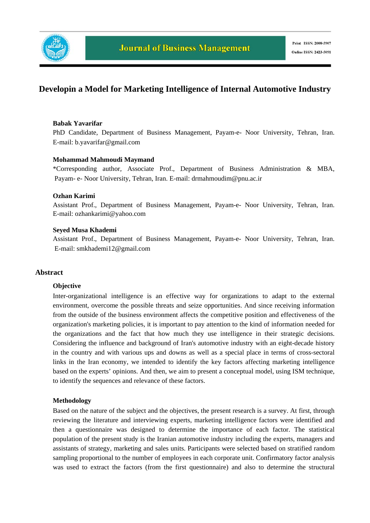

# **Developin a Model for Marketing Intelligence of Internal Automotive Industry**

#### **Babak Yavarifar**

PhD Candidate, Department of Business Management, Payam-e- Noor University, Tehran, Iran. E-mail: b.yavarifar@gmail.com

#### **Mohammad Mahmoudi Maymand**

\*Corresponding author*,* Associate Prof., Department of Business Administration & MBA, Payam- e- Noor University, Tehran, Iran. E-mail: drmahmoudim@pnu.ac.ir

#### **Ozhan Karimi**

Assistant Prof., Department of Business Management, Payam-e- Noor University, Tehran, Iran. E-mail: ozhankarimi@yahoo.com

#### **Seyed Musa Khademi**

Assistant Prof., Department of Business Management, Payam-e- Noor University, Tehran, Iran. E-mail: smkhademi12@gmail.com

#### **Abstract**

#### **Objective**

Inter-organizational intelligence is an effective way for organizations to adapt to the external environment, overcome the possible threats and seize opportunities. And since receiving information from the outside of the business environment affects the competitive position and effectiveness of the organization's marketing policies, it is important to pay attention to the kind of information needed for the organizations and the fact that how much they use intelligence in their strategic decisions. Considering the influence and background of Iran's automotive industry with an eight-decade history in the country and with various ups and downs as well as a special place in terms of cross-sectoral links in the Iran economy, we intended to identify the key factors affecting marketing intelligence based on the experts' opinions. And then, we aim to present a conceptual model, using ISM technique, to identify the sequences and relevance of these factors.

#### **Methodology**

Based on the nature of the subject and the objectives, the present research is a survey. At first, through reviewing the literature and interviewing experts, marketing intelligence factors were identified and then a questionnaire was designed to determine the importance of each factor. The statistical population of the present study is the Iranian automotive industry including the experts, managers and assistants of strategy, marketing and sales units. Participants were selected based on stratified random sampling proportional to the number of employees in each corporate unit. Confirmatory factor analysis was used to extract the factors (from the first questionnaire) and also to determine the structural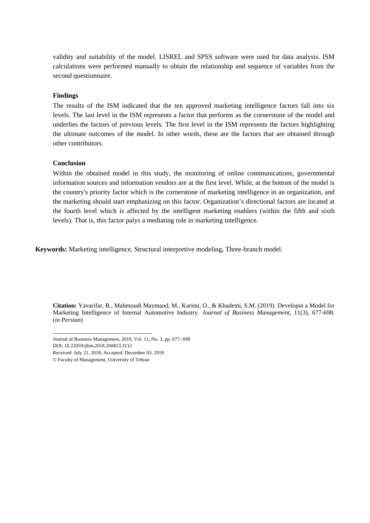validity and suitability of the model. LISREL and SPSS software were used for data analysis. ISM calculations were performed manually to obtain the relationship and sequence of variables from the second questionnaire.

#### **Findings**

The results of the ISM indicated that the ten approved marketing intelligence factors fall into six levels. The last level in the ISM represents a factor that performs as the cornerstone of the model and underlies the factors of previous levels. The first level in the ISM represents the factors highlighting the ultimate outcomes of the model. In other words, these are the factors that are obtained through other contributors.

#### **Conclusion**

Within the obtained model in this study, the monitoring of online communications, governmental information sources and information vendors are at the first level. While, at the bottom of the model is the country's priority factor which is the cornerstone of marketing intelligence in an organization, and the marketing should start emphasizing on this factor. Organization's directional factors are located at the fourth level which is affected by the intelligent marketing enablers (within the fifth and sixth levels). That is, this factor palys a mediating role in marketing intelligence.

**Keywords:** Marketing intelligence, Structural interpretive modeling, Three-branch model.

**Citation:** Yavarifar, B., Mahmoudi Maymand, M., Karimi, O., & Khademi, S.M. (2019). Developin a Model for Marketing Intelligence of Internal Automotive Industry. *Journal of Business Management,* 11(3), 677-698. (*in Persian*)

------------------------------------------------------------ Journal of Business Management, 2019, Vol. 11, No. 3, pp. 677- 698 DOI: 10.22059/jibm.2018.260823.3112 Received: July 21, 2018; Accepted: December 03, 2018

© Faculty of Management, University of Tehran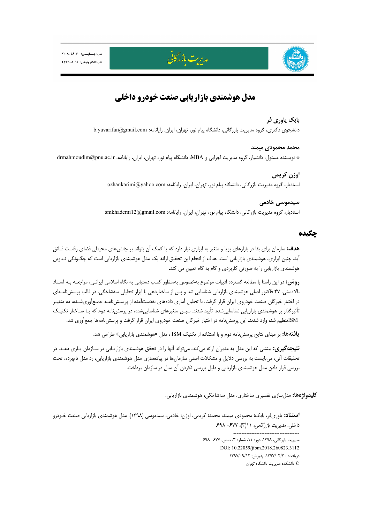



# **مدل هوشمندي بازاريابي صنعت خودرو داخلي**

مدىرت بازر كا<u>نى</u>

#### **بابك ياوري فر**

دانشجوي دكتري، گروه مديريت بازرگاني، دانشگاه پيام نور، تهران، ايران. رايانامه: b.yavarifar@gmail.com

#### **محمد محمودي ميمند**

\* نويسنده مسئول، دانشيار، گروه مديريت اجرايي و MBA، دانشگاه پيام نور، تهران، ايران. رايانامه: ir.ac.pnu@drmahmoudim

**اوژن كريمي**  استاديار، گروه مديريت بازرگاني، دانشگاه پيام نور، تهران، ايران. رايانامه: com.yahoo@ozhankarimi

## **سيدموسي خادمي**  استاديار، گروه مديريت بازرگاني، دانشگاه پيام نور، تهران، ايران. رايانامه: smkhademi12@gmail.com

## **چكيده**

**هدف:** سازمان براي بقا در بازارهاي پويا و متغير به ابزاري نياز دارد كه با كمك آن بتواند بر چالشهاي محيطي فضاي رقابـت فـائق آيد. چنين ابزاري، هوشمندي بازاريابي است. هدف از انجام اين تحقيق ارائه يك مدل هوشمندي بازاريابي است كه چگـونگي تـدوين هوشمندي بازاريابي را به صورتي كاربردي و گام به گام تعيين مي كند.

**روش:** در اين راستا با مطالعه گسترده ادبيات موضوع بهخصوص بهمنظور كسب دستيابي به نگاه اسلامي ايرانـي، مراجعـه بـه اسـناد بالادستي، 47 فاكتور اصلي هوشمندي بازاريابي شناسايي شد و پس از ساختاردهي با ابزار تحليلي سهشاخگي، در قالب پرسشنامـهاي در اختيار خبرگان صنعت خودروي ايران قرار گرفت. با تحليل آماري دادههاي بهدستآمده از پرسـشنامـه جمـعآوريشـده، ده متغيـر تأثيرگذار بر هوشمندي بازاريابي شناساييشده، تأييد شدند. سپس متغيرهاي شناساييشده، در پرسشنامه دوم كه بـا سـاختار تكنيـك ISMتنظيم شد، وارد شدند. اين پرسشنامه در اختيار خبرگان صنعت خودروي ايران قرار گرفت و پرسشنامهها جمعآوري شد.

**يافتهها:** بر مبناي نتايج پرسشنامه دوم و با استفاده از تكنيك ISM ، مدل «هوشمندي بازاريابي» طراحي شد.

**نتيجهگيري:** بينشي كه اين مدل به مديران ارائه ميكند، ميتواند آنها را در تحقق هوشمندي بازاريـابي در سـازمان يـاري دهـد. در تحقيقات آتي، ميبايست به بررسي دلايل و مشكلات اصلي سازمانها در پيادهسازي مدل هوشمندي بازاريابي، رد مدل نامبرده، تحت بررسي قرار دادن مدل هوشمندي بازاريابي و دليل بررسي نكردن آن مدل در سازمان پرداخت.

**كليدواژهها:** مدلسازي تفسيري ساختاري، مدل سهشاخگي، هوشمندي بازاريابي.

**استناد:** ياوريفر، بابك؛ محمودي ميمند، محمد؛ كريمي، اوژن؛ خادمي، سيدموسي (1398). مدل هوشمندي بازاريابي صنعت خـودرو داخلي. مديريت بازرگاني، 11(3)، -677 .698 ---------------------------------------- مديريت بازرگاني، ،1398 دوره ،11 شماره ،3 صص. -677 698 DOI: 10.22059/jibm.2018.260823.3112 دريافت: ،1397/04/30 پذيرش: 1397/09/12

© دانشكده مديريت دانشگاه تهران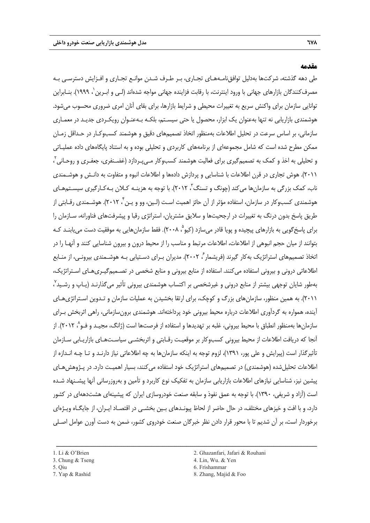#### **مقدمه**

طي دهه گذشته، شركتها بهدليل توافقنامـههـاي تجـاري، بـر طـرف شـدن موانـع تجـاري و افـزايش دسترسـي بـه مصرف كنندگان بازارهاى جهانى با ورود اينترنت، با رقابت فزاينده جهانى مواجه شدهاند (لـى و ابـرين `، ١٩٩٩). بنــابراين توانايي سازمان براي واكنش سريع به تغييرات محيطي و شرايط بازارها، براي بقاي آنان امري ضروري محسوب ميشود. هوشمندي بازاريابي نه تنها بهعنوان يك ابزار، محصول يا حتي سيسـتم، بلكـه بـهعنـوان رويكـردي جديـد در معمـاري سازماني، بر اساس سرعت در تحليل اطلاعات بهمنظور اتخاذ تصميمهاي دقيق و هوشمند كسبوكـار در حـداقل زمـان ممكن مطرح شده است كه شامل مجموعهاي از برنامههاي كاربردي و تحليلي بوده و به استناد پايگاههاي داده عمليـاتي و تحليلى به اخذ و كمک به تصميمگيرى براى فعاليت هوشمند كسبوكار مـىپـردازد (غضـنفرى، جعفـرى و روحـانى<sup>۲</sup> ، 2011). هوش تجاري در قرن اطلاعات با شناسايي و پردازش دادهها و اطلاعات انبوه و متفاوت به دانـش و هوشـمندي ناب، كمک بزرگی به سازمانها میکند (چونگ و تسنگ ّ، ۲۰۱۲). با توجه به هزینـه کـلان بـهکـارگیری سیسـتمهـای هوشمندي كسبوكار در سازمان، استفاده مؤثر از آن حائز اهميت اسـت (لـين، وو و يـن ً، ٢٠١٢). هوشــمندي رقــابتي از طريق پاسخ بدون درنگ به تغييرات در ارجحيتها و سلايق مشتريان، استراتژي رقبا و پيشرفتهاي فناورانه، سـازمان را براي پاسخ گويي به بازارهاي پيچيده و پويا قادر مي سازد (كيو °، ٢٠٠٨). فقط سازمان هايي به موفقيت دست مي پابنـد كـه بتوانند از ميان حجم انبوهي از اطلاعات، اطلاعات مرتبط و مناسب را از محيط درون و بيرون شناسايي كنند و آنهـا را در اتخاذ تصميمهاي استراتژيک به کار گيرند (فريشمار ، ۲۰۰۲). مديران بـراي دسـتيابي بـه هوشـمندي بيرونـي، از منـابع اطلاعاتي دروني و بيروني استفاده ميكنند. استفاده از منابع بيروني و منابع شخصي در تصـميمگيـريهـاي اسـتراتژيك، بهطور شايان توجهي بيشتر از منابع دروني و غيرشخصي بر اكتساب هوشمندي بيروني تأثير ميگذارنـد (يـاپ و رشـيد 7 ، 2011). به همين منظور، سازمانهاي بزرگ و كوچك، براي ارتقا بخشيدن به عمليات سازمان و تـدوين اسـتراتژيهـاي آينده، همواره به گردآوري اطلاعات درباره محيط بيروني خود پرداختهاند. هوشمندي برونسازماني، راهي اثربخش بـراي سازمانها بهمنظور انطباق با محيط بيروني، غلبه بر تهديدها و استفاده از فرصتها است (ژانگ، مجيـد و فـو^، ٢٠١٢). از آنجا كه دريافت اطلاعات از محيط بيروني كسبوكار بر موقعيـت رقـابتي و اثربخشـي سياسـتهـاي بازاريـابي سـازمان تأثيرگذار است (پيرايش و علي پور، 1391)، لزوم توجه به اينكه سازمانها به چه اطلاعاتي نياز دارنـد و تـا چـه انـدازه از اطلاعات تحليلشده (هوشمندي) در تصميمهاي استراتژيك خود استفاده ميكنند، بسيار اهميـت دارد. در پـژوهشهـاي پيشين نيز، شناسايي نيازهاي اطلاعات بازاريابي سازمان به تفكيك نوع كاربرد و تأمين و بهروزرساني آنها پيشـنهاد شـده است (آزاد و شريفي، 1390). با توجه به عمق نفوذ و سابقه صنعت خودروسازي ايران كه پيشينهاي هشتدههاي در كشور دارد، و با افت و خيزهاي مختلف، در حال حاضر از لحاظ پيونـدهاي بـين بخشـي در اقتصـاد ايـران، از جايگـاه ويـژهاي برخوردار است، بر آن شديم تا با محور قرار دادن نظر خبرگان صنعت خودروي كشور، ضمن به دست آورن عوامل اصـلي

- 
- 
- 
- 1. Li & O'Brien 2. Ghazanfari, Jafari & Rouhani
- 3. Chung  $&$  Tseng  $\blacksquare$  4. Lin, Wu.  $&$  Yen
- 5. Qiu 6. Frishammar

ــــــــــــــــــــــــــــــــــــــــــــــــــــــــــــــــــــــــــــــــــــــــــــــــــــــــــــــــــــــــــــــــــــ

7. Yap & Rashid 8. Zhang, Majid & Foo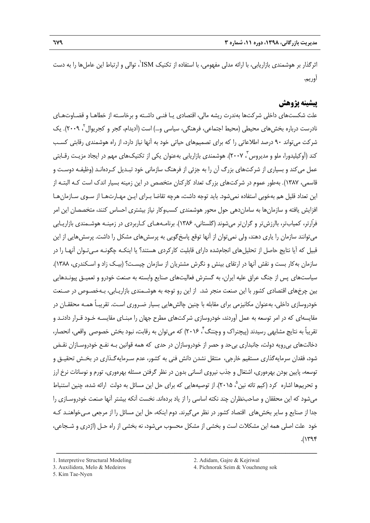ّثرگذار بر هوشمندی بازاریابی، با ارائه مدلی مفهومی، با استفاده از تكنیک ISM'، توالی و ارتباط این عاملها را به دست آوريم.

## **پيشينه پژوهش**

علت شكستهاي داخلي شركتها بهندرت ريشه مالي، اقتصادي يـا فنـي داشـته و برخاسـته از خطاهـا و قضـاوتهـاي نادرست درباره بخش،هاي محيطي (محيط اجتماعي، فرهنگي، سياسي و...) است (آديدام، گجر و كجريوال ً، ٢٠٠٩). يک شركت ميتواند 90 درصد اطلاعاتي را كه براي تصميمهاي حياتي خود به آنها نياز دارد، از راه هوشمندي رقابتي كسـب كند (آوكيليدورا، ملو و مديروس ً، ٢٠٠٧). هوشمندي بازاريابي بهعنوان يكي از تكنيكـهاي مهم در ايجاد مزيـت رقــابتي عمل ميكند و بسياري از شركتهاي بزرگ آن را به جزئي از فرهنگ سازماني خود تبـديل كـردهانـد (وظيفـه دوسـت و قاسمي، 1387). بهطور عموم در شركتهاي بزرگ تعداد كاركنان متخصص در اين زمينه بسيار اندك است كـه البتـه از اين تعداد قليل هم بهخوبي استفاده نميشود. بايد توجه داشت، هرچه تقاضا بـراي ايـن مهـارتهـا از سـوي سـازمانهـا افزايش يافته و سازمانها به ساماندهي حول محور هوشمندي كسبوكار نياز بيشتري احساس كنند، متخصصان اين امر فرّارتر، كميابتر، باارزشتر و گرانتر ميشوند (گلستاني، 1386). برنامـههـاي كـاربردي در زمينـه هوشـمندي بازاريـابي ميتوانند سازمان را ياري دهند، ولي نميتوان از آنها توقع پاسخگويي به پرسشهاي مشكل را داشت. پرسشهايي از اين قبيل كه آيا نتايج حاصل از تحليلهاي انجامشده داراي قابليت كاركردي هستند؟ يا اينكـه چگونـه مـيتـوان آنهـا را در سازمان بهكار بست و نقش آنها در ارتقاي بينش و نگرش مشتريان از سازمان چيسـت؟ (بيـك زاد و اسـكندري، 1388). سياستهاي پس از جنگ عراق عليه ايران، به گسترش فعاليتهاي صنايع وابسته به صنعت خودرو و تعميـق پيونـدهايي بين چرخهاي اقتصادي كشور با اين صنعت منجر شد. از اين رو توجه به هوشـمندي بازاريـابي، بـهخصـوص در صـنعت خودروسازي داخلي، بهعنوان مكانيزمي براي مقابله با چنين چالشهايي بسيار ضـروري اسـت. تقريبـاً همـه محققـان در مقايسهاي كه در امر توسعه به عمل آوردند، خودروسازي شركتهاي مطرح جهان را مبنـاي مقايسـه خـود قـرار دادنـد و تقريباً به نتايج مشابهي رسيدند (پيچنراک و وچننگ <sup>۲</sup>، ۲۰۱۶) که مي توان به رقابت، نبود بخش خصوصي واقعي، انحصار، دخالتهاي بيرويه دولت، جانبداري بيحد و حصر از خودروسازان در حدي كه همه قوانين بـه نفـع خودروسـازان نقـض شود، فقدان سرمايهگذاري مستقيم خارجي، منتقل نشدن دانش فني به كشور، عدم سـرمايهگـذاري در بخـش تحقيـق و توسعه، پايين بودن بهرهوري، اشتغال و جذب نيروي انساني بدون در نظر گرفتن مسئله بهرهوري، تورم و نوسانات نرخ ارز و تحريمها اشاره كرد (كيم تائه نين °، ٢٠١۵). از توصيههايي كه براي حل اين مسائل به دولت ارائه شده، چنين استنباط ميشود كه اين محققان و صاحبنظران چند نكته اساسي را از ياد بردهاند. نخست آنكه بيشتر آنها صنعت خودروسـازي را جدا از صنايع و ساير بخشهاي اقتصاد كشور در نظر ميگيرند. دوم اينكه، حل اين مسائل را از مرجعي مـيخواهنـد كـه خود علت اصلي همه اين مشكلات است و بخشي از مشكل محسوب ميشود، نه بخشي از راه حـل (اژدري و شـجاعي،  $.(\gamma$ ۳۹۴

<sup>1.</sup> Interpretive Structural Modeling 2. Adidam, Gajre & Kejriwal

<sup>5.</sup> Kim Tae-Nyen

<sup>3.</sup> Auxilidora, Melo & Medeiros 4. Pichnorak Seim & Vouchneng sok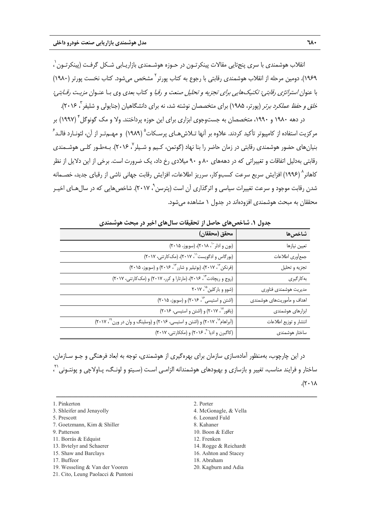نقلاب هوشمندی با سری پنجتايی مقالات پينكرتـون در حـوزه هوشـمندی بازاريـابی شـكل گرفـت (پينكرتـون ٰ ، ١٩۶٩). دومين مرحله از انقلاب هوشمندى رقابتى با رجوع به كتاب پورتر<sup>٦</sup> مشخص مىشود. كتاب نخست يورتر (١٩٨٠) با عنوان *استراتژي رقابتي: تكنيكهايي براي تجزيه و تحليل صنعت و رقبا* و كتاب بعدي وي بـا عنـوان *مزيـت رقـابتي:* خ*لق و حفظ عملكرد برتر* (پورتر، ۱۹۸۵) براي متخصصان نوشته شد، نه براي دانشگاهيان (جنايولي و شليفر<sup>"</sup>، ۲۰۱۶).

در دهه ۱۹۸۰ و ۱۹۹۰، متخصصان به جستوجوی ابزاری برای این حوزه پرداختند. ولا و مک گونوگل ٔ (۱۹۹۷) بر مركزيت استفاده از كامپيوتر تأكيد كردند. علاوه بر آنها تـلاش@عـاى پرسـكات<sup>۵</sup> (١٩٨٩) و مهـمتـر از آن، لئونــارد فالــد<sup>۶</sup> بنيان هاي حضور هوشمندي رقابتي در زمان حاضر را بنا نهاد (گوتمن، كـيم و شـيلر <sup>۷</sup> ۲۰۱۶). بـهطـور كلـي هوشـمندي رقابتي بهدليل اتفاقات و تغييراتي كه در دهههاي 80 و 90 ميلادي رخ داد، يك ضرورت است. برخي از اين دلايل از نظر كاهانر^ (١٩٩۶) افزايش سريع سرعت كسبوكار، سرريز اطلاعات، افزايش رقابت جهاني ناشي از رقباي جديد، خصـمانه شدن رقابت موجود و سرعت تغييرات سياسي و اثرگذاري آن است (يترسن ْ، ٢٠١٧). شاخص هايي كه در سال هـاي اخيـر محققان به مبحث هوشمندي افزودهاند در جدول 1 مشاهده ميشود.

| جدوں                       | ۱. ساخص های خاصل از تحقیقات سال های اخیر در مبحث هوسمندی                    |
|----------------------------|-----------------------------------------------------------------------------|
| شاخصها                     | محقق (محققان)                                                               |
| تعيين نيازها               | (بون و ادلر ``، ٢٠١٨)، (سويوز، ٢٠١۵)                                        |
| جمعأوري اطلاعات            | (بورگاس و ادگویست'`، ۲۰۱۷)، (مک کارتنی، ۲۰۱۷)                               |
| تجزيه و تحليل              | (فرنکن"، ۲۰۱۷)، (بوتیلیر و شارر"`، ۲۰۱۶) و (سویوز، ۲۰۱۵)                    |
| بەكارگيرى                  | (روج و ریچادت ۱۴ ، ۲۰۱۶)، (مارتارا و کرر، ۲۰۱۷) و (مککارتنی، ۲۰۱۷)          |
| مديريت هوشمندى فناورى      | (شوو و بارکلین <sup>۱۵</sup> ، ۲۰۱۷                                         |
| اهداف و مأموريتهاى هوشمندى | (اشتن و استیسی <sup>۶٫</sup> ۲۰۱۶) و (سویوز، ۲۰۱۵)                          |
| ابزارهای هوشمندی           | (بافور "، ٢٠١٧) و (اشتن و استيسى، ٢٠١۶)                                     |
| انتشار وتوزيع اطلاعات      | (آبراهام ۱۸ (۲۰۱۷) و (اشتن و استیسی، ۲۰۱۶) و (وسلینگ و وان در ورن ۱۹ (۲۰۱۲) |
| ساختار هوشمندى             | (کاگبرن و ادیا <sup>۲۰</sup> ، ۲۰۱۶) و (مککارتنی، ۲۰۱۷)                     |

**جدول .1 شاخصهاي حاصل از تحقيقات سالهاي اخير در مبحث هوشمندي** 

در اين چارچوب، بهمنظور آمادهسازي سازمان براي بهرهگيري از هوشمندي، توجه به ابعاد فرهنگي و جـو سـازمان، 21 ساختار و فرايند مناسب، تغيير و بازسازي و بهبودهاي هوشمندانه الزامـي اسـت (سـيتو و لونـگ، پـاولاچي و پونتـوني ،  $.(\mathsf{Y} \cdot \mathsf{Y})$ 

- 1. Pinkerton 2. Porter
- 3. Shleifer and Jenayolly **4. McGonagle, & Vella**
- 
- 7. Goetzmann, Kim & Shiller 8. Kahaner
- 9. Patterson 10. Boon & Edler
- 11. Borrás & Edquist 12. Frenken
- 13. Bytelyr and Schaerer 14. Rogge & Reichardt
- 15. Shaw and Barclays 16. Ashton and Stacey
- 
- 19. Wesseling & Van der Vooren 20. Kagburn and Adia
- 21. Cito, Leung Paolacci & Puntoni
- -
- 5. Prescott 6. Leonard Fuld
	-
	-
	-
	-
	-
- 17. Buffeor 18. Abraham
	-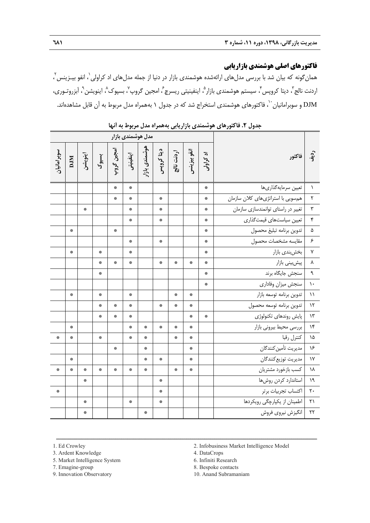# **فاكتورهاي اصلي هوشمندي بازاريابي**

همانگونه كه بيان شد با بررسى مدلهاى ارائهشده هوشمندى بازار در دنيا از جمله مدلهاى اد كراولى $\langle$  انفو بيــزينس $\,$ ، اردنت نالج<sup>"</sup>، ديتا كروپس"، سيستم هوشمندي بازار<sup>م</sup>، اينفينيتي ريسرچ<sup>ع</sup>، امجين گروپ<sup>٧</sup>، بسپوک^، اينويشن<sup>٩</sup>، آبزروتـوري، ، فاكتورهاي هوشمندي استخراج شد كه در جدول 1 بههمراه مدل مربوط به آن قابل مشاهدهاند. <sup>10</sup> DJM و سوبرامانيان

| مدل هوشمندی بازار |                                   |                  |                                   |                                   |           |               |                                   |                     |                 |           |                                    |                         |
|-------------------|-----------------------------------|------------------|-----------------------------------|-----------------------------------|-----------|---------------|-----------------------------------|---------------------|-----------------|-----------|------------------------------------|-------------------------|
| سوبر امانیان      | DJM                               | اينويشن          | بسيوك                             | امجين گروپ                        | اينفينيتر | هوشمندی بازار | دیتا کروپس                        | اردنت نالج          | انفو بيزينس     | اد کراولی | فاكتور                             | $\ddot{a}$              |
|                   |                                   |                  |                                   | 寨                                 | 寨         |               |                                   |                     |                 | 崇         | تعيين سرمايهگذاريها                | $\lambda$               |
|                   |                                   |                  |                                   | 寨                                 | 寨         |               | $\frac{d\mathbf{x}}{d\mathbf{x}}$ |                     |                 | 楽         | هم سویی با استراتژیهای کلان سازمان | ٢                       |
|                   |                                   | 崇                |                                   |                                   | 崇         |               | 崇                                 |                     |                 | 崇         | تغییر در راستای توانمندسازی سازمان | $\mathbf{y}$            |
|                   |                                   |                  |                                   |                                   | 崇         |               | $\frac{3\pi}{2\pi}$               |                     |                 | ₩         | تعيين سياستهاى قيمتگذاري           | $\mathbf{\check{r}}$    |
|                   | 楽                                 |                  |                                   | 崇                                 |           |               |                                   |                     |                 | ₩         | تدوين برنامه تبليغ محصول           | ۵                       |
|                   |                                   |                  |                                   |                                   | 寨         |               | $\frac{d\mathbf{x}}{d\mathbf{x}}$ |                     |                 | 崇         | مقايسه مشخصات محصول                | $\epsilon$              |
|                   | $\frac{d\mathbf{x}}{d\mathbf{x}}$ |                  | $\frac{d\mathbf{x}}{d\mathbf{x}}$ |                                   | 崇         |               |                                   |                     |                 | 崇         | بخشبندي بازار                      | $\mathsf{Y}$            |
|                   |                                   |                  | $\frac{d\mathbf{x}}{d\mathbf{x}}$ | 寨                                 | 楽         |               | 崇                                 | 楽                   | 寨               | 崇         | پیشبینی بازار                      | ۸                       |
|                   |                                   |                  | $\frac{d\mathbf{x}}{d\mathbf{x}}$ |                                   |           |               |                                   |                     |                 | 崇         | سنجش جايگاه برند                   | $\mathbf{\mathfrak{q}}$ |
|                   |                                   |                  |                                   |                                   |           |               |                                   |                     |                 | 崇         | سنجش ميزان وفادارى                 | $\lambda$               |
|                   | 楽                                 |                  | 楽                                 |                                   | 楽         |               |                                   | 楽                   | 崇               |           | تدوين برنامه توسعه بازار           | $\lambda$               |
|                   |                                   |                  | $\frac{d\mathbf{x}}{d\mathbf{x}}$ | 寨                                 | 寨         |               | 崇                                 | 寨                   | 寨               |           | تدوين برنامه توسعه محصول           | $\mathcal{N}$           |
|                   |                                   |                  | 崇                                 | 紫                                 | 影         |               |                                   |                     | 寨               | 崇         | پایش روندهای تکنولوژی              | $\mathcal{N}$           |
|                   | 崇                                 |                  |                                   |                                   | 楽         | 楽             | 寨                                 | 寨                   | 纂               |           | بررسي محيط بيروني بازار            | $\lambda$ ۴             |
| 寨                 | 崇                                 |                  | $\frac{2\pi}{\pi}$                |                                   | 寨         | 崇             |                                   | $\frac{3\pi}{2\pi}$ | 崇               |           | كنترل رقبا                         | ١۵                      |
|                   |                                   |                  |                                   | $\frac{d\mathbf{x}}{d\mathbf{x}}$ |           | 靀             |                                   |                     | $\frac{36}{26}$ |           | مديريت تأمين كنندگان               | ۱۶                      |
|                   | 楽                                 |                  |                                   |                                   |           | 寨             | 崇                                 |                     | 寨               |           | مديريت توزيع كنندگان               | $\gamma$                |
| 寨                 | $\frac{d\mathbf{x}}{d\mathbf{x}}$ | 寨                | 楽                                 | $\frac{d\mathbf{x}}{d\mathbf{x}}$ | 崇         | 靀             |                                   | $\mathcal{R}$       | 寨               |           | كسب بازخورد مشتريان                | ١٨                      |
|                   |                                   | 寨                |                                   |                                   |           |               | 崇                                 |                     |                 |           | استاندارد كردن روشها               | $\lambda$               |
| 寨                 |                                   |                  |                                   |                                   |           |               | 崇                                 |                     |                 |           | اكتساب تجربيات برتر                | $\mathbf{y}$ .          |
|                   |                                   | 崇                |                                   |                                   | 寨         |               | $\frac{d\mathbf{x}}{d\mathbf{x}}$ |                     |                 |           | اطمینان از یکپارچگی رویکردها       | $\uparrow$ )            |
|                   |                                   | $\frac{3\pi}{2}$ |                                   |                                   |           | 楽             |                                   |                     |                 |           | انگيزش نيروي فروش                  | $\mathbf{r}$            |

**جدول .2 فاكتورهاي هوشمندي بازاريابي بههمراه مدل مربوط به آنها** 

3. Ardent Knowledge 4. DataCrops

5. Market Intelligence System 6. Infiniti Research

1. Ed Crowley 2. Infobusiness Market Intelligence Model

ــــــــــــــــــــــــــــــــــــــــــــــــــــــــــــــــــــــــــــــــــــــــــــــــــــــــــــــــــــــــــــــــــــ

7. Emagine-group 8. Bespoke contacts

9. Innovation Observatory 10. Anand Subramaniam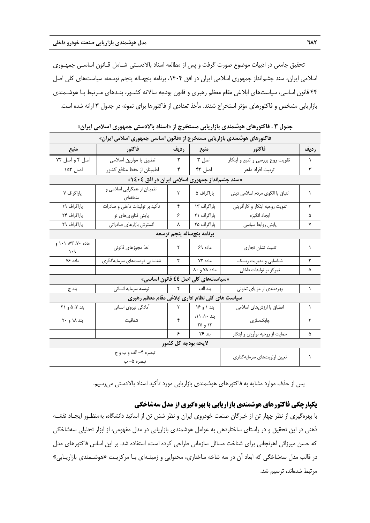تحقيق جامعي در ادبيات موضوع صورت گرفت و پس از مطالعه اسناد بالادسـتي شـامل قـانون اساسـي جمهـوري اسلامي ايران، سند چشمانداز جمهوري اسلامي ايران در افق ،1404 برنامه پنجساله پنجم توسعه، سياستهاي كلي اصل 44 قانون اساسي، سياستهاي ابلاغي مقام معظم رهبري و قانون بودجه سالانه كشـور، بنـدهاي مـرتبط بـا هوشـمندي بازاريابي مشخص و فاكتورهاي مؤثر استخراج شدند. مأخذ تعدادي از فاكتورها براي نمونه در جدول 3 ارائه شده است.

| . ע ט ג ט געוויט ש שיאנט פוניט                                          |                                                 |                              |                                   |                                  |           |  |  |  |  |  |
|-------------------------------------------------------------------------|-------------------------------------------------|------------------------------|-----------------------------------|----------------------------------|-----------|--|--|--|--|--|
| فاکتورهای هوشمندی بازاریابی مستخرج از «قانون اساسی جمهوری اسلامی ایران» |                                                 |                              |                                   |                                  |           |  |  |  |  |  |
| منبع                                                                    | فاكتور                                          | رديف                         | منبع                              | فاكتور                           | رديف      |  |  |  |  |  |
| اصل ۴ و اصل ٧٢                                                          | تطبيق با موازين اسلامي                          | $\mathsf{r}$                 | اصل ۳                             | تقویت روح بررسی و تتبع و ابتکار  | $\lambda$ |  |  |  |  |  |
| اصل ۱۵۳                                                                 | اطمينان از حفظ منافع كشور                       | ۴                            | اصل ۴۳                            | تربيت افراد ماهر                 | ٣         |  |  |  |  |  |
| «سند چشم انداز جمهوری اسلامی ایران در افق ٤٠٤ »                         |                                                 |                              |                                   |                                  |           |  |  |  |  |  |
| پاراگراف ۷                                                              | اطمینان از همگرایی اسلامی و<br>منطقهای          | ٢                            | پاراگراف ۵                        | انتباق با الگوى مردم اسلامي ديني | ١         |  |  |  |  |  |
| پاراگراف ۱۹                                                             | تأكيد بر توليدات داخلى و صادرات                 | ۴                            | پاراگراف ۱۳                       | تقويت روحيه ابتكار و كارأفريني   | ٣         |  |  |  |  |  |
| پاراگراف ۲۴                                                             | پایش فناوریهای نو                               | ۶                            | پاراگراف ۲۱                       | ايجاد انگيزه                     | ۵         |  |  |  |  |  |
| پاراگراف ۲۹                                                             | گسترش بازارهای صادراتی                          | ٨                            | پاراگراف ۲۵                       | پایش روابط سیاسی                 | ٧         |  |  |  |  |  |
|                                                                         | برنامه پنجساله پنجم توسعه                       |                              |                                   |                                  |           |  |  |  |  |  |
| ماده ۷۰، ۷۳، ۱۰۱ و<br>$\mathcal{N} \cdot \mathcal{A}$                   | اخذ مجوزهاى قانونى                              | ٢                            | ماده ۶۹                           | تثبيت نشان تجارى                 | ١         |  |  |  |  |  |
| ماده ۷۶                                                                 | شناسایی فرصتهای سرمایهگذاری                     | ۴                            | ماده ۷۲                           | شناسایی و مدیریت ریسک            | ٣         |  |  |  |  |  |
|                                                                         |                                                 |                              | ماده ۷۸ و ۸۰                      | تمرکز بر تولیدات داخلی           | ۵         |  |  |  |  |  |
|                                                                         |                                                 |                              | «سیاستهای کلی اصل ££ قانون اساسی» |                                  |           |  |  |  |  |  |
| بند ج                                                                   | بند الف   ۲   توسعه سرمایه انسانی               |                              |                                   | بهرهمندی از مزایای تعاونی        | 1         |  |  |  |  |  |
|                                                                         | سیاست های کلی نظام اداری ابلاغی مقام معظم رهبری |                              |                                   |                                  |           |  |  |  |  |  |
| بند ۳، ۵ و ۲۱                                                           | أمادگي نيروي انساني                             | $\vert \nabla$               | بند ۱ و ۱۶                        | انطباق با ارزشهای اسلامی         | 1         |  |  |  |  |  |
| بند ۱۸ و ۲۰                                                             | شفافيت                                          | ۴                            | بند ١٠، ١١،<br>۱۳ و ۲۵            | چابکسازی                         | ٣         |  |  |  |  |  |
|                                                                         |                                                 | ۶                            | بند ۲۶                            | حمایت از روحیه نوآوری و ابتکار   | ۵         |  |  |  |  |  |
|                                                                         |                                                 |                              | لايحه بودجه كل كشور               |                                  |           |  |  |  |  |  |
|                                                                         | تبصره ۴– الف و ب و ج                            | تعيين اولويتهاى سرمايه گذاري | $\lambda$                         |                                  |           |  |  |  |  |  |
|                                                                         | تبصره ۵– ب                                      |                              |                                   |                                  |           |  |  |  |  |  |

**جدول 3 . فاكتورهاي هوشمندي بازاريابي مستخرج از «اسناد بالادستي جمهوري اسلامي ايران»** 

پس از حذف موارد مشابه به فاكتورهاي هوشمندي بازاريابي مورد تأكيد اسناد بالادستي ميرسيم.

## **يكپارچگي فاكتورهاي هوشمندي بازاريابي با بهرهگيري از مدل سهشاخگي**

با بهرهگيري از نظر چهار تن از خبرگان صنعت خودروي ايران و نظر شش تن از اساتيد دانشگاه، بهمنظـور ايجـاد نقشـه ذهني در اين تحقيق و در راستاي ساختاردهي به عوامل هوشمندي بازاريابي در مدل مفهومي، از ابزار تحليلي سهشاخگي كه حسن ميرزائي اهرنجاني براي شناخت مسائل سازماني طراحي كرده است، استفاده شد. بر اين اساس فاكتورهاي مدل در قالب مدل سهشاخگي كه ابعاد آن در سه شاخه ساختاري، محتوايي و زمينـهاي بـا مركزيـت «هوشـمندي بازاريـابي» مرتبط شدهاند، ترسيم شد.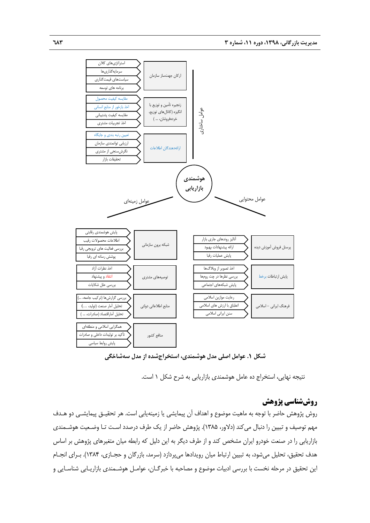

**شكل .1 عوامل اصلي مدل هوشمندي، استخراجشده از مدل سهشاخگي** 

نتيجه نهايي، استخراج ده عامل هوشمندي بازاريابي به شرح شكل 1 است.

## **روششناسي پژوهش**

روش پژوهش حاضر با توجه به ماهيت موضوع و اهداف آن پيمايشي يا زمينهيابي است. هر تحقيـق پيمايشـي دو هـدف مهم توصيف و تبيين را دنبال ميكند (دلاور، 1385). پژوهش حاضر از يك طرف درصدد اسـت تـا وضـعيت هوشـمندي بازاريابي را در صنعت خودرو ايران مشخص كند و از طرف ديگر به اين دليل كه رابطه ميان متغيرهاي پژوهش بر اساس هدف تحقيق، تحليل ميشود، به تبيين ارتباط ميان رويدادها ميپردازد (سرمد، بازرگان و حجـازي، 1384). بـراي انجـام اين تحقيق در مرحله نخست با بررسي ادبيات موضوع و مصاحبه با خبرگـان، عوامـل هوشـمندي بازاريـابي شناسـايي و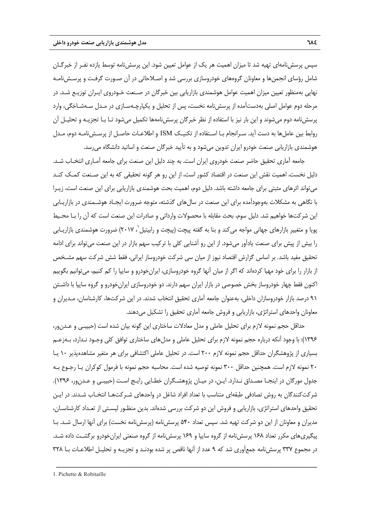سپس پرسشنامهاي تهيه شد تا ميزان اهميت هر يك از عوامل تعيين شود. اين پرسشنامه توسط يازده نفـر از خبرگـان شامل رؤساي انجمنها و معاونان گروههاي خودروسازي بررسي شد و اصـلاحاتي در آن صـورت گرفـت و پرسـشنامـه نهايي بهمنظور تعيين ميزان اهميت عوامل هوشمندي بازاريابي بين خبرگان در صـنعت خـودروي ايـران توزيـع شـد. در مرحله دوم عوامل اصلي بهدستآمده از پرسشنامه نخست، پس از تحليل و يكپارچـهسـازي در مـدل سـهشـاخگي، وارد پرسشنامه دوم ميشوند و اين بار نيز با استفاده از نظر خبرگان پرسشنامهها تكميل ميشود تـا بـا تجزيـه و تحليـل آن روابط بين عاملها به دست آيد. سـرانجام بـا اسـتفاده از تكنيـك ISM و اطلاعـات حاصـل از پرسـشنامـه دوم، مـدل هوشمندي بازاريابي صنعت خودرو ايران تدوين ميشود و به تأييد خبرگان صنعت و اساتيد دانشگاه ميرسد.

جامعه آماري تحقيق حاضر صنعت خودروي ايران است. به چند دليل اين صنعت براي جامعه آمـاري انتخـاب شـد. دليل نخست، اهميت نقش اين صنعت در اقتصاد كشور است، از اين رو هر گونه تحقيقي كه به اين صـنعت كمـك كنـد ميتواند اثرهاي مثبتي براي جامعه داشته باشد. دليل دوم، اهميت بحث هوشمندي بازاريابي براي اين صنعت است، زيـرا با نگاهي به مشكلات بهوجودآمده براي اين صنعت در سالهاي گذشته، متوجه ضرورت ايجـاد هوشـمندي در بازاريـابي اين شركتها خواهيم شد. دليل سوم، بحث مقابله با محصولات وارداتي و صادرات اين صنعت است كه آن را بـا محـيط بويا و متغيير بازارهاى جهانى مواجه مىكند و بنا به گفته پيچت (پيچت و رابيتيل`، ۲۰۱۷) ضرورت هوشمندى بازاريـابى را بيش از پيش براي صنعت يادآور ميشود. از اين رو آشنايي كلي با تركيب سهم بازار در اين صنعت ميتواند براي ادامه تحقيق مفيد باشد. بر اساس گزارش اقتصاد نيوز از ميان سي شركت خودروساز ايراني، فقط شش شركت سهم مشـخص از بازار را براي خود مهيا كردهاند كه اگر از ميان آنها گروه خودروسازي، ايرانخودرو و سايپا را كم كنيم، ميتوانيم بگوييم اكنون فقط چهار خودروساز بخش خصوصي در بازار ايران سهم دارند. دو خودروسازي ايرانخودرو و گروه سايپا با داشـتن 91 درصد بازار خودروسازان داخلي، بهعنوان جامعه آماري تحقيق انتخاب شدند. در اين شركتها، كارشناسان، مـديران و معاونان واحدهاي استراتژي، بازاريابي و فروش جامعه آماري تحقيق را تشكيل مي دهند.

حداقل حجم نمونه لازم براي تحليل عاملي و مدل معادلات ساختاري اين گونه بيان شده است (حبيبـي و عـدنور، 1396): با وجود آنكه درباره حجم نمونه لازم براي تحليل عاملي و مدلهاي ساختاري توافق كلي وجـود نـدارد، بـهزعـم بسياري از پژوهشگران حداقل حجم نمونه لازم 200 است. در تحليل عاملي اكتشافي براي هر متغير مشاهدهپذير 10 يـا 20 نمونه لازم است. همچنين حداقل 300 نمونه توصيه شده است. محاسبه حجم نمونه با فرمول كوكران يـا رجـوع بـه جدول مورگان در اينجـا مصـداق نـدارد. ايـن، در ميـان پژوهشـگران خطـايي رايـج اسـت (حبيبـي و عـدنور، 1396). شركتكنندگان به روش تصادفي طبقهاي متناسب با تعداد افراد شاغل در واحدهاي شـركتهـا انتخـاب شـدند. در ايـن تحقيق واحدهاي استراتژي، بازاريابي و فروش اين دو شركت بررسي شدهاند. بدين منظـور ليسـتي از تعـداد كارشناسـان، مديران و معاونان از اين دو شركت تهيه شد. سپس تعداد 540 پرسشنامه (پرسشنامه نخست) براي آنها ارسال شـد. بـا پيگيريهاي مكرر تعداد 168 پرسشنامه از گروه سايپا و 169 پرسشنامه از گروه صنعتي ايرانخودرو برگشـت داده شـد. در مجموع 337 پرسشنامه جمعآوري شد كه 9 عدد از آنها ناقص پر شده بودنـد و تجزيـه و تحليـل اطلاعـات بـا 328

<sup>1.</sup> Pichette & Robitaille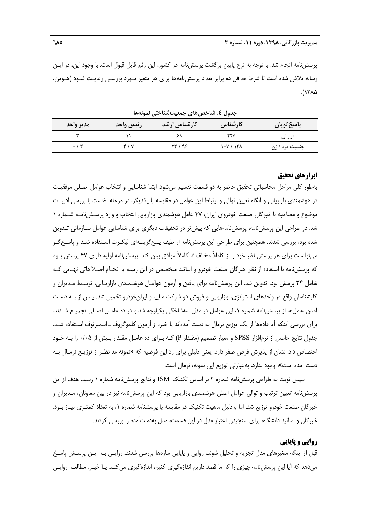پرسشنامه انجام شد. با توجه به نرخ پايين برگشت پرسشنامه در كشور، اين رقم قابل قبول است. با وجود اين، در ايـن رساله تلاش شده است تا شرط حداقل ده برابر تعداد پرسشنامهها براي هر متغير مـورد بررسـي رعايـت شـود (هـومن، ۱۳۸۵).

|           |           | .            | .         |                   |
|-----------|-----------|--------------|-----------|-------------------|
| مدير واحد | رئيس واحد | كارشناس ارشد | كارشناس   | پاسخ گويان        |
| سه        |           |              | ۲۴۵       | فراواني           |
|           | ۴١٧       | ۲۳ / ۴۶      | ۱۰۷ / ۱۳۸ | زن<br>جنسیت مرد ' |

**جدول .4 شاخصهاي جمعيتشناختي نمونهها** 

## **ابزارهاي تحقيق**

بهطور كلي مراحل محاسباتي تحقيق حاضر به دو قسمت تقسيم ميشود. ابتدا شناسايي و انتخاب عوامل اصـلي موفقيـت در هوشمندي بازاريابي و آنگاه تعيين توالي و ارتباط اين عوامل در مقايسه با يكديگر. در مرحله نخست با بررسي ادبيـات موضوع و مصاحبه با خبرگان صنعت خودروي ايران، 47 عامل هوشمندي بازاريابي انتخاب و وارد پرسـشنامـه شـماره 1 شد. در طراحي اين پرسشنامه، پرسشنامههايي كه پيشتر در تحقيقات ديگري براي شناسايي عوامل سـازماني تـدوين شده بود، بررسي شدند. همچنين براي طراحي اين پرسشنامه از طيف پـنجگزينـهاي ليكـرت اسـتفاده شـد و پاسـخگـو ميتوانست براي هر پرسش نظر خود را از كاملاً مخالف تا كاملاً موافق بيان كند. پرسشنامه اوليه داراي 47 پرسش بـود كه پرسشنامه با استفاده از نظر خبرگان صنعت خودرو و اساتيد متخصص در اين زمينه با انجـام اصـلاحاتي نهـايي كـه شامل 34 پرسش بود، تدوين شد. اين پرسشنامه براي يافتن و آزمون عوامـل هوشـمندي بازاريـابي، توسـط مـديران و كارشناسان واقع در واحدهاي استراتژي، بازاريابي و فروش دو شركت سايپا و ايرانخودرو تكميل شد. پـس از بـه دسـت آمدن عاملها از پرسشنامه شماره ،1 اين عوامل در مدل سهشاخگي يكپارچه شد و در ده عامـل اصـلي تجميـع شـدند. براي بررسي اينكه آيا دادهها از يك توزيع نرمال به دست آمدهاند يا خير، از آزمون كلموگروفـ اسميرنوف اسـتفاده شـد. جدول نتايج حاصل از نرمافزار SPSS و معيار تصميم (مقـدار P (كـه بـراي ده عامـل مقـدار بـيش از 0/05 را بـه خـود اختصاص داد، نشان از پذيرش فرض صفر دارد. يعني دليلي براي رد اين فرضيه كه «نمونه مد نظـر از توزيـع نرمـال بـه دست آمده است»، وجود ندارد. بهعبارتي توزيع اين نمونه، نرمال است.

سپس نوبت به طراحي پرسشنامه شماره 2 بر اساس تكنيك ISM و نتايج پرسشنامه شماره 1 رسيد. هدف از اين پرسشنامه تعيين ترتيب و توالي عوامل اصلي هوشمندي بازاريابي بود كه اين پرسشنامه نيز در بين معاونان، مـديران و خبرگان صنعت خودرو توزيع شد. اما بهدليل ماهيت تكنيك در مقايسه با پرسشنامه شماره ،1 به تعداد كمتـري نيـاز بـود. خبرگان و اساتيد دانشگاه، براي سنجيدن اعتبار مدل در اين قسمت، مدل بهدستآمده را بررسي كردند.

## **روايي و پايايي**

قبل از اينكه متغيرهاي مدل تجزيه و تحليل شوند، روايي و پايايي سازهها بررسي شدند. روايـي بـه ايـن پرسـش پاسـخ ميدهد كه آيا اين پرسشنامه چيزي را كه ما قصد داريم اندازهگيري كنيم، اندازهگيري ميكنـد يـا خيـر. مطالعـه روايـي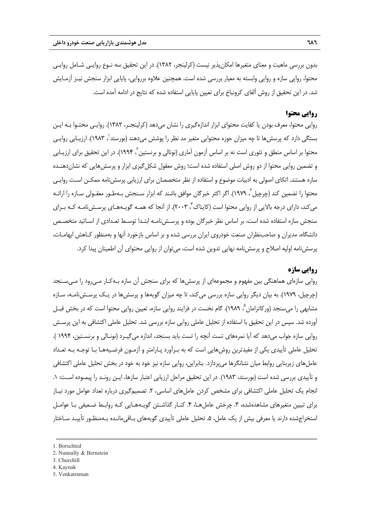بدون بررسي ماهيت و معناي متغيرها امكانپذير نيست (كرلينجر، 1382). در اين تحقيق سه نـوع روايـي شـامل روايـي محتوا، روايي سازه و روايي وابسته به معيار بررسي شده است. همچنين علاوه برروايي، پايايي ابزار سنجش نيـز آزمـايش شد. در اين تحقيق از روش آلفاي كرونباخ براي تعيين پايايي استفاده شده كه نتايج در ادامه آمده است.

## **روايي محتوا**

روايي محتوا، معرف بودن يا كفايت محتواي ابزار اندازهگيري را نشان ميدهد (كرلينجـر، 1382). روايـي محتـوا بـه ايـن بستگي دارد كه پرسشها تا چه ميزان حوزه محتوايي متغير مد نظر را پوشش ميدهند (بورستد ٰ، ۱۹۸۳). ارزيـابي روايـي محتوا بر اساس منطق و تئوري است نه بر اساس آزمون آماري (نونالي و برنستين ، 1994). در اين تحقيق براي ارزيـابي <sup>2</sup> و تضمين روايي محتوا از دو روش اصلي استفاده شده است؛ روش معقول شكلگيري ابزار و پرسشهايي كه نشاندهنـده سازه هستند. اتكاي اصولي به ادبيات موضوع و استفاده از نظر متخصصان براي ارزيابي پرسشنامه ممكـن اسـت روايـي محتوا را تضمين كند (چرچيل ّ، ١٩٧٩). اگر اكثر خبرگان موافق باشند كه ابزار سـنجش بـهطـور معقـولى سـازه را ارائـه میكند، دارای درجه بالایی از روایی محتوا است (كایناک ٔ ۲۰۰۳). از آنجا كه همـه گویـههـای پرسـشiامـه كـه بـرای سنجش سازه استفاده شده است، بر اساس نظر خبرگان بوده و پرسـشنامـه ابتـدا توسـط تعـدادي از اسـاتيد متخصـص دانشگاه، مديران و صاحبنظران صنعت خودروي ايران بررسي شده و بر اساس بازخورد آنها و بهمنظور كـاهش ابهامـات، پرسشنامه اوليه اصلاح و پرسشنامه نهايي تدوين شده است، ميتوان از روايي محتواي آن اطمينان پيدا كرد.

## **روايي سازه**

روايي سازهاي هماهنگي بين مفهوم و مجموعهاي از پرسشها كه براي سنجش آن سازه بـهكـار مـيرود را مـيسـنجد (چرچيل، 1979). به بيان ديگر روايي سازه بررسي ميكند، تا چه ميزان گويهها و پرسشها در يـك پرسـشنامـه، سـازه مشابهي را ميسنجد (وركاترامان ؓ، ١٩٨٩). گام نخست در فرايند روايي سازه، تعيين روايي محتوا است كه در بخش قبـل آورده شد. سپس در اين تحقيق با استفاده از تحليل عاملي روايي سازه بررسي شد. تحليل عاملي اكتشافي به اين پرسـش روايي سازه جواب ميدهد كه آيا نمرههاي تست آنچه را تست بايد بسنجد، اندازه ميگيـرد (نونـالي و برنسـتين، 1994 ). تحليل عاملي تأييدي يكي از مفيدترين روشهايي است كه به بـرآورد پـارامتر و آزمـون فرضـيههـا بـا توجـه بـه تعـداد عاملهاي زيربنايي روابط ميان نشانگرها ميپردازد. بنابراين، روايي سازه نيز خود به خود در بخش تحليل عاملي اكتشافي و تأييدي بررسي شده است (بورستد، 1983). در اين تحقيق مراحل ارزيابي اعتبار سازها، ايـن رونـد را پيمـوده اسـت: .1 انجام يک تحليل عاملي اکتشافي براي مشخص کردن عامل هاي اساسي، ۲. تصميمگيري درباره تعداد عوامل مورد نيـاز براي تبيين متغيرهاي مشاهدهشده، ٣. چرخش عاملهـا، ۴. كنـار گذاشـتن گويـههـايي كـه روابـط ضـعيفي بـا عوامـل استخراجشده دارند يا معرفي بيش از يك عامل، .5 تحليل عاملي تأييدي گويههاي بـاقيمانـده بـهمنظـور تأييـد سـاختار

- 2. Nunnally & Bernstein
- 3. Churchill
- 4. Kaynak
- 5. Venkatraman

<sup>1.</sup> Borschted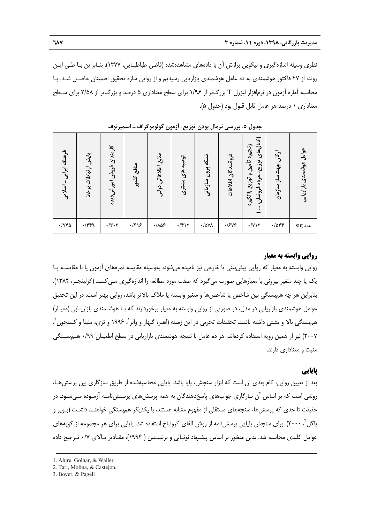نظري وسيله اندازهگيري و نيكويي برازش آن با دادههاي مشاهدهشده (قاضي طباطبـايي، 1377). بنـابراين بـا طـي ايـن روند، از 47 فاكتور هوشمندي به ده عامل هوشمندي بازاريابي رسيديم و از روايي سازه تحقيق اطمينان حاصـل شـد. بـا محاسبه آماره آزمون در نرمافزار ليزرل T بزرگتر از 1/96 براي سطح معناداري 5 درصد و بزرگتر از 2/58 براي سـطح معناداري 1 درصد هر عامل قابل قبول بود (جدول 5).

| فرهنگ ایرانی -<br>اسلامى | پایش ارتباطات برخط | کارمندان<br>فروش أموزش ديده                                                             | منافع<br>كشور | منابع اطلاعاتي دولتي   | توصيه<br>ٷ<br>مشترى | شبكه<br>برون سازماني | فروشندگان اطلاعات | (کانالهای<br>زنجيره<br>توزيع،<br>تأمين و<br>خرده<br>توزيح باانگيزه<br>فروشان، | اركان<br>$\frac{1}{3}$<br>ساز سازمان | عوامل هوشه<br>مندى بازاريابى |
|--------------------------|--------------------|-----------------------------------------------------------------------------------------|---------------|------------------------|---------------------|----------------------|-------------------|-------------------------------------------------------------------------------|--------------------------------------|------------------------------|
| $\cdot$ /<br>            | $\cdot$ /۴۴۹       | $\boldsymbol{\cdot} / \boldsymbol{\curlyvee} \boldsymbol{\cdot} \boldsymbol{\curlyvee}$ | $\frac{1}{5}$ | $\cdot/\lambda\Delta5$ | $\cdot$ /۴۱۲        | $\cdot$ /۵۷۸         | .1545             | $\cdot$ / $\gamma$                                                            | $-7055$                              | $\mathrm{sig}$ عدد           |

**جدول .5 بررسي نرمال بودن توزيع، آزمون كولوموگراف ـ اسميرنوف** 

#### **روايي وابسته به معيار**

روايي وابسته به معيار كه روايي پيشبيني يا خارجي نيز ناميده ميشود، بهوسيله مقايسه نمرههاي آزمون يا با مقايسـه بـا يك يا چند متغير بيروني با معيارهايي صورت ميگيرد كه صفت مورد مطالعه را اندازهگيري مـيكننـد (كرلينجـر، 1382). بنابراين هر چه همبستگي بين شاخص يا شاخصها و متغير وابسته يا ملاك بالاتر باشد، روايي بهتر است. در اين تحقيق عوامل هوشمندي بازاريابي در مدل، در صورتي از روايي وابسته به معيار برخوردارند كه بـا هوشـمندي بازاريـابي (معيـار) هم.ستگ*ي* بالا و مثبتي داشته باشند. تحقيقات تجربي در اين زمينه (اهير، گلهار و والر <sup>י</sup>، ۱۹۹۶ و ترى، ملينا و كستجون <sup>۲</sup> ، 2007) نيز از همين رويه استفاده كردهاند. هر ده عامل با نتيجه هوشمندي بازاريابي در سطح اطمينان 0/99 هـمبسـتگي مثبت و معناداري دارند.

## **پايايي**

بعد از تعيين روايي، گام بعدي آن است كه ابزار سنجش، پايا باشد. پايايي محاسبهشده از طريق سازگاري بين پرسشهـا، روشي است كه بر اساس آن سازگاري جوابهاي پاسخدهندگان به همه پرسشهاي پرسـشنامـه آزمـوده مـيشـود. در حقيقت تا حدي كه پرسشها، سنجههاي مستقلي از مفهوم مشابه هستند، با يكديگر همبستگي خواهنـد داشـت (بـوير و پاگل<sup>۳</sup>، ۲۰۰۰). برای سنجش پایایی پرسشiامه از روش آلفای کرونباخ استفاده شد. پایایی برای هر مجموعه از گویههای عوامل كليدي محاسبه شد. بدين منظور بر اساس پيشنهاد نونـالي و برنسـتين ( 1994)، مقـادير بـالاي 0/7 تـرجيح داده

<sup>1.</sup> Ahire, Golhar, & Waller

<sup>2.</sup> Tari, Molina, & Castejon,

<sup>3.</sup> Boyer, & Pagell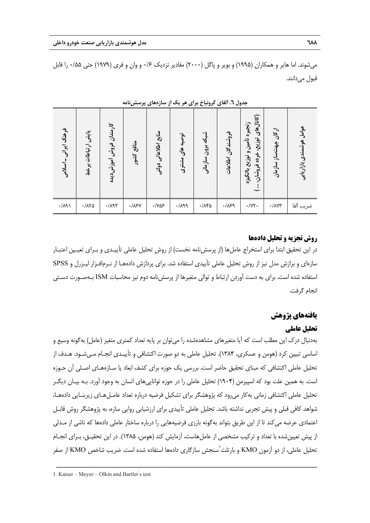ميشوند. اما هاير و همكاران (1995) و بوير و پاگل (2000) مقادير نزديك 0/6 و وان و فري (1979) حتي 0/55 را قابل قبول ميدانند.

| فرهنگ ایرانی – اسلامی | پایش ارتباطات برخط        | کارمندان فروش أموزش ديده | منافع<br>كشور      | منابع اطلاعاتي دولتي   | توصیه های مشتری | شبکه برون سازمانی  | فروشندگان اطلاعات | (کانال های<br>زنجيره تأمين و توزيع باانگيزه<br>توزيع،<br>خرده<br>، فروشان، | ارکان جهتساز سازمان                           | عوامل هوشمندی بازاریابی |
|-----------------------|---------------------------|--------------------------|--------------------|------------------------|-----------------|--------------------|-------------------|----------------------------------------------------------------------------|-----------------------------------------------|-------------------------|
| $\cdot/\lambda$ ٩)    | $\cdot/\lambda\tau\Delta$ | $\cdot/\lambda$ 95       | $\cdot/\lambda$ ۶Y | $\cdot$ /Ya $\epsilon$ | .749            | $\cdot/\lambda$ ۴۵ | .189              | $\cdot/\gamma\gamma$ .                                                     | $\boldsymbol{\cdot} / \boldsymbol{\lambda}$ Y | ضريب ألفا               |

**جدول .6 آلفاي كرونباخ براي هر يك از سازههاي پرسشنامه** 

## **روش تجزيه و تحليل دادهها**

در اين تحقيق ابتدا براي استخراج عاملها (از پرسشنامه نخست) از روش تحليل عاملي تأييـدي و بـراي تعيـين اعتبـار سازهاي و برازش مدل نيز از روش تحليل عاملي تأييدي استفاده شد. براي پردازش دادههـا از نـرمافـزار ليـزرل و SPSS استفاده شده است. براي به دست آوردن ارتباط و توالي متغيرها از پرسشنامه دوم نيز محاسبات ISM بـهصـورت دسـتي انجام گرفت.

# **يافتههاي پژوهش**

## **تحليل عاملي**

بهدنبال درك اين مطلب است كه آيا متغيرهاي مشاهدهشده را ميتوان بر پايه تعداد كمتري متغير (عامل) بهگونه وسيع و اساسي تبيين كرد (هومن و عسكري، 1384). تحليل عاملي به دو صورت اكتشافي و تأييـدي انجـام مـيشـود. هـدف از تحليل عاملي اكتشافي كه مبناي تحقيق حاضر است، بررسي يك حوزه براي كشف ابعاد يا سـازههـاي اصـلي آن حـوزه است. به همين علت بود كه اسپيرمن (1904) تحليل عاملي را در حوزه تواناييهاي انسان به وجود آورد. بـه بيـان ديگـر تحليل عاملي اكتشافي زماني بهكار ميرود كه پژوهشگر براي تشكيل فرضيه درباره تعداد عامـلهـاي زيربنـايي دادههـا، شواهد كافي قبلي و پيش تجربي نداشته باشد. تحليل عاملي تأييدي براي ارزشيابي روايي سازه، به پژوهشگر روش قابـل اعتمادي عرضه ميكند تا از اين طريق بتواند بهگونه بارزي فرضيههايي را درباره ساختار عاملي دادهها كه ناشي از مـدلي از پيش تعيينشده با تعداد و تركيب مشخصي از عاملهاست، آزمايش كند (هومن، 1385). در اين تحقيـق، بـراي انجـام تحليل عاملي، از دو آزمون KMO و بارتلت<sup>٬</sup>سنجش سازگاري دادهها استفاده شده است. ضريب شاخص KMO از صفر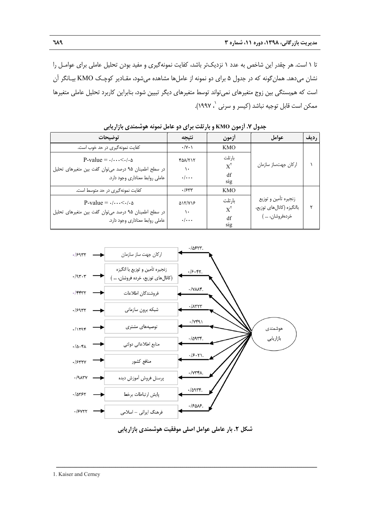تا 1 است. هر چقدر اين شاخص به عدد 1 نزديكتر باشد، كفايت نمونهگيري و مفيد بودن تحليل عاملي براي عوامـل را نشان ميدهد. همانگونه كه در جدول 5 براي دو نمونه از عاملها مشاهده ميشود، مقـادير كوچـك KMO بيـانگر آن است كه همبستگي بين زوج متغيرهاي نميتواند توسط متغيرهاي ديگر تبيين شود، بنابراين كاربرد تحليل عاملي متغيرها ، 1997). <sup>1</sup> ممكن است قابل توجيه نباشد (كيسر و سرني

| توضيحات                                                                                                                                   | نتيجه                                      | أزمون                                           | عوامل                                                                | رديف |
|-------------------------------------------------------------------------------------------------------------------------------------------|--------------------------------------------|-------------------------------------------------|----------------------------------------------------------------------|------|
| كفايت نمونهگيري در حد خوب است.                                                                                                            | $\cdot/\gamma \cdot \gamma$                | <b>KMO</b>                                      |                                                                      |      |
| P-value = $\cdot/\cdots\leq\cdot/\cdot\Delta$<br>در سطح اطمینان ۹۵ درصد می توان گفت بین متغیرهای تحلیل<br>عاملي روابط معناداري وجود دارد. | <b>FAN/TIT</b><br>١.<br>$\cdot/\cdot\cdot$ | بار تلت<br>$X^{\mathsf{r}}$<br>df<br>sig        | اركان جهتساز سازمان                                                  |      |
| كفايت نمونهگيري در حد متوسط است.                                                                                                          | .7544                                      | <b>KMO</b>                                      |                                                                      |      |
| P-value = $\cdot/\cdots\leq\cdot/\cdot\Delta$<br>در سطح اطمینان ۹۵ درصد می توان گفت بین متغیرهای تحلیل<br>عاملی روابط معناداری وجود دارد. | <b>DIT/VIS</b><br>١.<br>$\cdot/\cdot\cdot$ | بار تلت<br>$X^{\mathsf{Y}}$<br>df<br><b>S1g</b> | زنجيره تأمين و توزيع<br>باانگیزه (کانالهای توزیع،<br>خردەفروشان، … ˈ |      |

**جدول .7 آزمون KMO و بارتلت براي دو عامل نمونه هوشمندي بازاريابي** 





ــــــــــــــــــــــــــــــــــــــــــــــــــــــــــــــــــــــــــــــــــــــــــــــــــــــــــــــــــــــــــــــــــــ

1. Kaiser and Cerney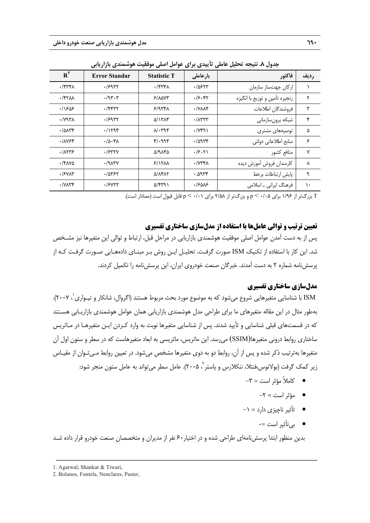| $R^{\gamma}$                             | <b>Error Standar</b>    | <b>Statistic T</b> | بارعاملي                   | فاكتور                         | رديف          |
|------------------------------------------|-------------------------|--------------------|----------------------------|--------------------------------|---------------|
| $\cdot$ /۳۳۴۸                            | .7997                   | $\cdot$ /۳۳۴۸      | ۶۲۳ ه.                     | اركان جهتساز سازمان            |               |
| $\cdot$ /۴۲۸۸                            | .795.7                  | 5/10V              | .79.47                     | زنجيره تأمين و توزيع با انگيزه | ٢             |
| ۱۶۵۶.                                    | $\cdot$ /۴۴۳۲           | 5/977A             | $\cdot$ $\land\land\land\$ | فروشندگان اطلاعات              | ٣             |
| $\cdot$ / $\vee$ ۹۳۸                     | .19977                  | <b>DITAT</b>       | $\cdot$ / $\wedge$ ۳۲۳     | شبكه برونسازماني               | ۴             |
| $\cdot$ / $\Delta$ $\lambda$ ۳۴          | .71798                  | $\lambda$ . ۳۹۴    | $\cdot$ / $\gamma$ ۴۹۱     | توصیههای مشتری                 | ۵             |
| .11Y54                                   | .70.4                   | 41.998             | $\cdot$ /9954              | منابع اطلاعاتي دولتي           | ۶             |
| .71775                                   | $.$ / $5$ ۳۲۷           | ۵/۹۸۴۵             | .75.71                     | منافع كشور                     | ٧             |
| $\cdot$ /۴۸۷۵                            | $\cdot$ /9 $\Lambda$ ۳۷ | 5/15 <sub>AA</sub> | $\cdot$ / $\gamma$ ۳۴۸     | كارمندان فروش آموزش ديده       | ٨             |
| $\cdot$ / $\epsilon$ $\gamma\lambda\tau$ | ۶/۵۳۶۲                  | <b>Q/1417</b>      | ۳۳۴ه. •                    | يايش ارتباطات برخط             | ٩             |
| $\cdot$ / $V\Lambda$ ۳۴                  | $.$ / $5$ $077$         | ۵/۴۳۹۱             | ۱۶۵۸۶                      | فرهنگ ایرانی ۔ اسلامی          | $\mathcal{L}$ |

**جدول .8 نتيجه تحليل عاملي تأييدي براي عوامل اصلي موفقيت هوشمندي بازاريابي** 

T بزرگتر از 1/96 براي 0/05 > p و بزرگتر از 2/58 براي 0/01 > p قابل قبول است (معنادار است).

## **تعيين ترتيب و توالي عاملها با استفاده از مدلسازي ساختاري تفسيري**

پس از به دست آمدن عوامل اصلي موفقيت هوشمندي بازاريابي در مراحل قبل، ارتباط و توالي اين متغيرها نيز مشـخص شد. اين كار با استفاده از تكنيك ISM صورت گرفـت. تحليـل ايـن روش بـر مبنـاي دادههـايي صـورت گرفـت كـه از پرسشنامه شماره 2 به دست آمدند. خبرگان صنعت خودروي ايران، اين پرسشنامه را تكميل كردند.

## **مدلسازي ساختاري تفسيري**

، 2007). <sup>1</sup> ISM با شناسايي متغيرهايي شروع ميشود كه به موضوع مورد بحث مربوط هستند (اگروال، شانكار و تيـواري بهطور مثال در اين مقاله متغيرهاي ما براي طراحي مدل هوشمندي بازاريابي همان عوامل هوشمندي بازاريـابي هسـتند كه در قسمتهاي قبلي شناسايي و تأييد شدند. پس از شناسايي متغيرها نوبت به وارد كـردن ايـن متغيرهـا در مـاتريس ساختاري روابط دروني متغيرها(SSIM) مي رسد. اين ماتريس، ماتريسي به ابعاد متغيرهاست كه در سطر و ستون اول آن متغيرها بهترتيب ذكر شده و پس از آن، روابط دو به دوي متغيرها مشخص ميشود. در تعيين روابط مـيتـوان از مقيـاس زیر کمک گرفت (بولانوس،فنتلا، ننکلارس و پاستر $^{\gamma}$ ، ۲۰۰۵). عامل سطر می $\vec{z}$ واند به عامل ستون منجر شود:

- $-\mathbf{y} = -\mathbf{y}$  كاملاً مؤثر است $\mathbf{y} = -\mathbf{y}$ 
	- $-\mathbf{y} = -\mathbf{y}$ مؤثر است $\mathbf{y} = \mathbf{y}$
- تأثير ناچيزي دارد = -1
	- بيتأثير است =0

بدين منظور ابتدا پرسشنامهاي طراحي شده و در اختيار60 نفر از مديران و متخصصان صنعت خودرو قرار داده شـد

<sup>1.</sup> Agarwal, Shankar & Tiwari,

<sup>2.</sup> Bolanos, Fontela, Nenclares, Paster,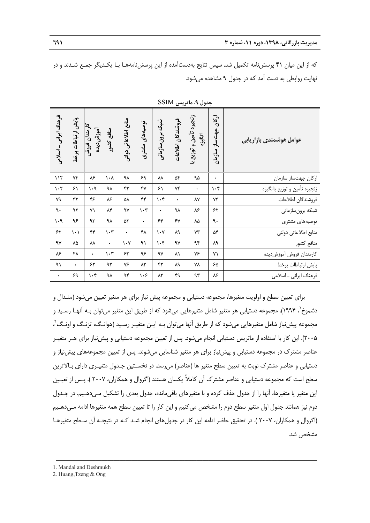كه از اين ميان 41 پرسشنامه تكميل شد. سپس نتايج بهدستآمده از اين پرسشنامههـا بـا يكـديگر جمـع شـدند و در نهايت روابطي به دست آمد كه در جدول 9 مشاهده ميشود.

| فرهنگ ایرانی –اسلامی            | پایش ارتباطات برخط            | کارمندان فروش<br>أم <u>وز</u> ش ديده | منافع كشور                      | منابع اطلاعاتي دولتي          | توصیههای مشتری      | شبكه برون سازماني               | فروشندگان اطلاعات | زنجيره تأمين و توزيع با<br>اتگیزه | ارکان جهتساز سازمان | عوامل هوشمندي بازاريابي       |
|---------------------------------|-------------------------------|--------------------------------------|---------------------------------|-------------------------------|---------------------|---------------------------------|-------------------|-----------------------------------|---------------------|-------------------------------|
| 117                             | ٧۴                            | ۸۶                                   | $\lambda \cdot \Lambda$         | ٩λ                            | ۶۹                  | ٨٨                              | ۵۴                | ۹۵                                | $\bullet$           | اركان جهتساز سازمان           |
| $\mathcal{N}$                   | ۶۱                            | $\cdot$ 9                            | ٩λ                              | ۴۳                            | ۴٧                  | ۶۱                              | ٧۴                | $\bullet$                         | $\cdot$ ۴           | زنجيره تأمين و توزيع باانگيزه |
| ٧٩                              | $\mathbf{y} \mathbf{y}$       | ۴۶                                   | $\lambda$ mathcal{S}            | ۵٨                            | ۴۴                  | $\mathcal{N} \cdot \mathcal{K}$ | ٠                 | ۸۷                                | ٧٣                  | فروشندگان اطلاعات             |
| ٩.                              | ۹۲                            | ٧١                                   | ۸۴                              | ٩٧                            | $\eta \cdot \eta$   | ۰                               | ٩λ                | $\lambda$ mathcal{S}              | ۶۲                  | شبكه برونسازماني              |
| $\mathcal{L} \cdot \mathcal{L}$ | ۹۶                            | ٩٣                                   | ٩λ                              | ۵٢                            | ۰                   | ۶۴                              | $\lambda$         | ٨۵                                | ٩.                  | توصیههای مشتری                |
| $\mathop{\rm \mathsf{FT}}$      | $\backslash \cdot \backslash$ | $\gamma\gamma$                       | $\mathcal{N} \cdot \mathcal{N}$ | $\bullet$                     | ۴۸                  | $\mathsf{v} \cdot \mathsf{v}$   | ٨٩                | ٧٣                                | ۵۴                  | منابع اطلاعاتي دولتي          |
| ٩٧                              | ٨۵                            | ٨٨                                   | $\bullet$                       | $\mathsf{v} \cdot \mathsf{v}$ | ۹١                  | $\mathcal{N} \cdot \mathcal{K}$ | ٩٧                | ٩۴                                | ٨٩                  | منافع كشور                    |
| ٨۶                              | ۴۸                            | $\bullet$                            | $\mathcal{N} \cdot \mathcal{N}$ | ۶۳                            | ۹۶                  | ٩٧                              | ۸١                | ٧۶                                | $Y\setminus$        | كارمندان فروش أموزشديده       |
| ۹١                              | $\bullet$                     | ۶۲                                   | ٩٣                              | ٧۶                            | $\lambda\mathsf{y}$ | ۴٢                              | ٨٩                | ٧٨                                | ۶۵                  | پایش ارتباطات برخط            |
| $\bullet$                       | ۶۹                            | $\mathcal{N} \cdot \mathcal{K}$      | ٩λ                              | ٩۴                            | ۱۰۶                 | ۸۳                              | ۴۹                | ٩٣                                | ۸۶                  | فرهنگ ایرانی ۔ اسلامی         |

**جدول .9 ماتريس** SSIM

براي تعيين سطح و اولويت متغيرها، مجموعه دستيابي و مجموعه پيش نياز براي هر متغير تعيين ميشود (منـدال و 1 دشموخ ، 1994). مجموعه دستيابي هر متغير شامل متغيرهايي ميشود كه از طريق اين متغير ميتوان بـه آنهـا رسـيد و مجموعه پيش1نياز شامل متغيرهايي ميشود كه از طريق آنها ميتوان بـه ايـن متغيـر رسـيد (هوانـگ، تزنـگ و اونـگ<sup>۲</sup> ، 2005). اين كار با استفاده از ماتريس دستيابي انجام ميشود. پس از تعيين مجموعه دستيابي و پيشنياز براي هـر متغيـر عناصر مشترك در مجموعه دستيابي و پيشنياز براي هر متغير شناسايي ميشوند. پس از تعيين مجموعههاي پيشنياز و دستيابي و عناصر مشترك نوبت به تعيين سطح متغير ها (عناصر) ميرسد. در نخسـتين جـدول متغيـري داراي بـالاترين سطح است كه مجموعه دستيابي و عناصر مشترك آن كاملاً يكسان هستند (اگروال و همكاران، 2007 ). پـس از تعيـين اين متغير يا متغيرها، آنها را از جدول حذف كرده و با متغيرهاي باقيمانده، جدول بعدي را تشكيل مـيدهـيم. در جـدول دوم نيز همانند جدول اول متغير سطح دوم را مشخص ميكنيم و اين كار را تا تعيين سطح همه متغيرها ادامه مـيدهـيم (اگروال و همكاران، 2007 ). در تحقيق حاضر ادامه اين كار در جدولهاي انجام شـد كـه در نتيجـه آن سـطح متغيرهـا مشخص شد.

ــــــــــــــــــــــــــــــــــــــــــــــــــــــــــــــــــــــــــــــــــــــــــــــــــــــــــــــــــــــــــــــــــــ

2. Huang,Tzeng & Ong

<sup>1.</sup> Mandal and Deshmukh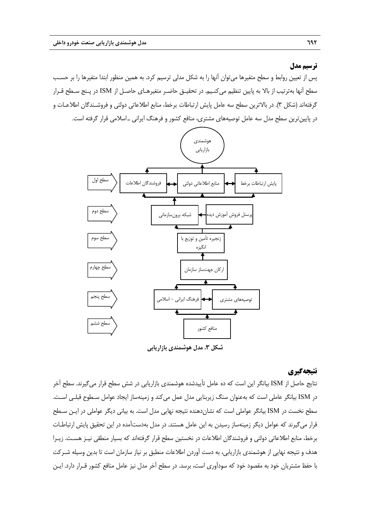#### **ترسيم مدل**

پس از تعيين روابط و سطح متغيرها ميتوان آنها را به شكل مدلي ترسيم كرد. به همين منظور ابتدا متغيرها را بر حسـب سطح آنها بهترتيب از بالا به پايين تنظيم ميكنـيم. در تحقيـق حاضـر متغيرهـاي حاصـل از ISM در پـنج سـطح قـرار گرفتهاند (شكل 3). در بالاترين سطح سه عامل پايش ارتباطات برخط، منابع اطلاعاتي دولتي و فروشـندگان اطلاعـات و در پايينترين سطح مدل سه عامل توصيههاي مشتري، منافع كشور و فرهنگ ايراني ـ اسلامي قرار گرفته است.



**شكل .3 مدل هوشمندي بازاريابي**

## **نتيجهگيري**

نتايج حاصل از ISM بيانگر اين است كه ده عامل تأييدشده هوشمندي بازاريابي در شش سطح قرار ميگيرند. سطح آخر در ISM بيانگر عاملي است كه بهعنوان سنگ زيربنايي مدل عمل ميكند و زمينهساز ايجاد عوامل سـطوح قبلـي اسـت. سطح نخست در ISM بيانگر عواملي است كه نشاندهنده نتيجه نهايي مدل است. به بياني ديگر عواملي در ايـن سـطح قرار ميگيرند كه عوامل ديگر زمينهساز رسيدن به اين عامل هستند. در مدل بهدستآمده در اين تحقيق پايش ارتباطـات برخط، منابع اطلاعاتي دولتي و فروشندگان اطلاعات در نخستين سطح قرار گرفتهاند كه بسيار منطقي نيـز هسـت. زيـرا هدف و نتيجه نهايي از هوشمندي بازاريابي، به دست آوردن اطلاعات منطبق بر نياز سازمان است تا بدين وسيله شـركت با حفظ مشتريان خود به مقصود خود كه سودآوري است، برسد. در سطح آخر مدل نيز عامل منافع كشور قـرار دارد. ايـن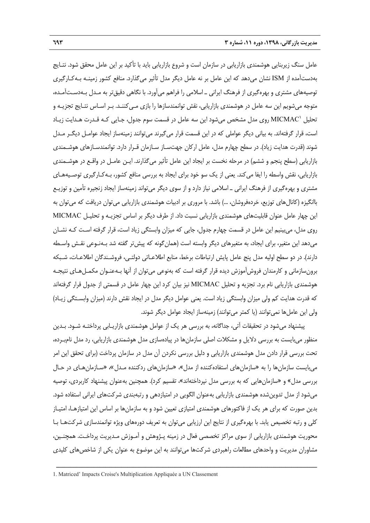عامل سنگ زيربنايي هوشمندي بازاريابي در سازمان است و شروع بازاريابي بايد با تأكيد بر اين عامل محقق شود. نتـايج بهدستآمده از ISM نشان ميدهد كه اين عامل بر نه عامل ديگر مدل تأثير ميگذارد. منافع كشور زمينـه بـهكـارگيري توصيههاي مشتري و بهرهگيري از فرهنگ ايراني ـ اسلامي را فراهم ميآورد. با نگاهي دقيقتر به مـدل بـهدسـتآمـده، متوجه ميشويم اين سه عامل در هوشمندي بازاريابي، نقش توانمندسازها را بازي مـيكننـد. بـر اسـاس نتـايج تجزيـه و تحليل MICMAC' روي مدل مشخص مي شود اين سه عامل در قسمت سوم جدول، جـايي كـه قـدرت هـدايت زيـاد است، قرار گرفتهاند. به بياني ديگر عواملي كه در اين قسمت قرار ميگيرند ميتوانند زمينهساز ايجاد عوامـل ديگـر مـدل شوند (قدرت هدايت زياد). در سطح چهارم مدل، عامل اركان جهتسـاز سـازمان قـرار دارد. توانمندسـازهاي هوشـمندي بازاريابي (سطح پنجم و ششم) در مرحله نخست بر ايجاد اين عامل تأثير ميگذارند. ايـن عامـل در واقـع در هوشـمندي بازاريابي، نقش واسطه را ايفا ميكند. يعني از يك سو خود براي ايجاد به بررسي منافع كشور، بـهكـارگيري توصـيههـاي مشتري و بهرهگيري از فرهنگ ايراني ـ اسلامي نياز دارد و از سوي ديگر ميتواند زمينهساز ايجاد زنجيره تأمين و توزيـع باانگيزه (كانالهاي توزيع، خردهفروشان، ...) باشد. با مروري بر ادبيات هوشمندي بازاريابي ميتوان دريافت كه ميتوان به اين چهار عامل عنوان قابليتهاي هوشمندي بازاريابي نسبت داد. از طرف ديگر بر اساس تجزيـه و تحليـل MICMAC روي مدل، ميبينيم اين عامل در قسمت چهارم جدول، جايي كه ميزان وابستگي زياد است، قرار گرفته اسـت كـه نشـان ميدهد اين متغير، براي ايجاد، به متغيرهاي ديگر وابسته است (همانگونه كه پيشتر گفته شد بـهنـوعي نقـش واسـطه دارند). در دو سطح اوليه مدل پنج عامل پايش ارتباطات برخط، منابع اطلاعـاتي دولتـي، فروشـندگان اطلاعـات، شـبكه برونسازماني و كارمندان فروشآموزش ديده قرار گرفته است كه بهنوعي ميتوان از آنها بـهعنـوان مكمـلهـاي نتيجـه هوشمندي بازاريابي نام برد. تجزيه و تحليل MICMAC نيز بيان كرد اين چهار عامل در قسمتي از جدول قرار گرفتهاند كه قدرت هدايت كم ولي ميزان وابستگي زياد است. يعني عوامل ديگر مدل در ايجاد نقش دارند (ميزان وابسـتگي زيـاد) ولي اين عاملها نميتوانند (يا كمتر ميتوانند) زمينهساز ايجاد عوامل ديگر شوند.

پيشنهاد ميشود در تحقيقات آتي، جداگانه، به بررسي هر يك از عوامل هوشمندي بازاريـابي پرداختـه شـود. بـدين منظور ميبايست به بررسي دلايل و مشكلات اصلي سازمانها در پيادهسازي مدل هوشمندي بازاريابي، رد مدل نامبـرده، تحت بررسي قرار دادن مدل هوشمندي بازاريابي و دليل بررسي نكردن آن مدل در سازمان پرداخت (براي تحقق اين امر ميبايست سازمانها را به «سازمانهاي استفادهكننده از مدل»، «سازمانهاي ردكننده مـدل»، «سـازمانهـاي در حـال بررسي مدل» و «سازمانهايي كه به بررسي مدل نپرداختهاند»، تقسيم كرد). همچنين بهعنوان پيشنهاد كاربردي، توصيه ميشود از مدل تدوينشده هوشمندي بازاريابي بهعنوان الگويي در امتيازدهي و رتبهبندي شركتهاي ايراني استفاده شود. بدين صورت كه براي هر يك از فاكتورهاي هوشمندي امتيازي تعيين شود و به سازمانها بر اساس اين امتيازهـا، امتيـاز كلي و رتبه تخصيص يابد. با بهرهگيري از نتايج اين ارزيابي ميتوان به تعريف دورههاي ويژه توانمندسازي شركتهـا بـا محوريت هوشمندي بازاريابي از سوي مراكز تخصصي فعال در زمينه پـژوهش و آمـوزش مـديريت پرداخـت. همچنـين، مشاوران مديريت و واحدهاي مطالعات راهبردي شركتها ميتوانند به اين موضوع به عنوان يكي از شاخصهاي كليدي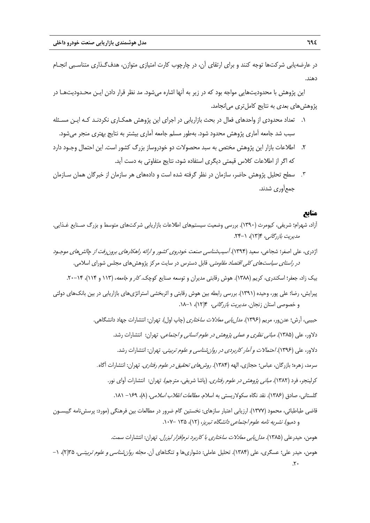در عارضهيابي شركتها توجه كنند و براي ارتقاي آن، در چارچوب كارت امتيازي متوازن، هدفگـذاري متناسـبي انجـام دهند.

اين پژوهش با محدوديتهايي مواجه بود كه در زير به آنها اشاره ميشود. مد نظر قرار دادن ايـن محـدوديتهـا در پژوهشهاي بعدي به نتايج كاملتري ميانجامد.

- .1 تعداد محدودي از واحدهاي فعال در بحث بازاريابي در اجراي اين پژوهش همكـاري نكردنـد كـه ايـن مسـئله سبب شد جامعه آماري پژوهش محدود شود. بهطور مسلم جامعه آماري بيشتر به نتايج بهتري منجر ميشود.
- .2 اطلاعات بازار اين پژوهش مختص به سبد محصولات دو خودروساز بزرگ كشور است. اين احتمال وجـود دارد كه اگر از اطلاعات كلاس قيمتي ديگري استفاده شود، نتايج متفاوتي به دست آيد.
- .٣ سطح تحليل پژوهش حاضر، سازمان در نظر گرفته شده است و دادههاي هر سازمان از خبرگان همان سـازمان جمعآوري شدند.

## **منابع**

 $\mathbf{r}$ 

- آزاد، شهرام؛ شريفي، كيومرث (1390). بررسي وضعيت سيستمهاي اطلاعات بازاريابي شركتهاي متوسط و بزرگ صـنايع غـذايي. مديريت بازرگاني، 4(13)، .24-1
- اژدري، علي اصغر؛ شجاعي، سعيد (1394). آسيبشناسي صنعت خودروي كشور <sup>و</sup> ارائه راهكارهاي برونرفت از چالشهاي موجـود در ر*استاي سياستهاي كلي اقتصاد مقاومتي.* قابل دسترس در سايت مركز پژوهش هاي مجلس شوراي اسلامي.
	- بيك زاد، جعفر؛ اسكندري، كريم (١٣٨٨). هوش رقابتي مديران و توسعه صنايع كوچك. *كار و جامعه*، (١١٣ و ١١٤)، ٦۴–٢٠.
- پيرايش، رضا؛ علي پور، وحيده (1391). بررسي رابطه بين هوش رقابتي و اثربخشي استراتژيهاي بازاريابي در بين بانكهاي دولتي و خصوصي استان زنجان. *مديريت بازرگاني،* ١٣(١٢)، ١-١٨.

حبيبي، آرش؛ عدنور، مريم (1396). مدليابي معادلات ساختاري (چاپ اول). تهران: انتشارات جهاد دانشگاهي. دلاور، علي (۱۳۸۵). *مباني نظري و عملي پژوهش در علوم انساني و اجتماعي*. تهران: انتشارات رشد. دلاور، علي (1396). احتمالات <sup>و</sup> آمار كاربردي در روانشناسي <sup>و</sup> علوم تربيتي. تهران: انتشارات رشد. سرمد، زهره؛ بازرگان، عباس؛ حجازي، الهه (1384). روشهاي تحقيق در علوم رفتاري. تهران: انتشارات آگاه*.* كرلينجر، فرد (١٣٨٢). *مباني پژوهش در علوم رفتاري*. (پاشا شريفي، مترجم). تهران: انتشارات آواي نور. گلستاني، صادق (۱۳۸۶). نقد نگاه سكولاريستي به اسلام. *مطالعات انقلاب اسلامي*، (۸)، ۱۶۹– ۱۸۱. قاضي طباطبائي، محمود (1377). ارزيابي اعتبار سازهاي: نخستين گام ضرور در مطالعات بين فرهنگي (مورد: پرسشنامه گيبسـون و دمبو). نشريه نامه علوم اجتماعي دانشگاه تبريز، (12)، 135 .107-

هومن، حيدرعلي (1385). مدليابي معادلات ساختاري با كاربرد نرمافزار ليزرل. تهران: انتشارات سمت. هومن، حيدر علي؛ عسگري، علي (1384). تحليل عاملي: دشواريها و تنگناهاي آن. مجله روانشناسي <sup>و</sup> علوم تربيتـي، 35(2)، -1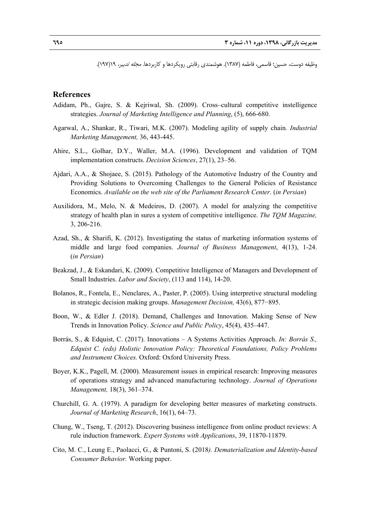وظيفه دوست، حسين؛ قاسمي، فاطمه (1387). هوشمندي رقابتي رويكردها و كاربردها. مجله تدبير، 19(197).

#### **References**

- Adidam, Ph., Gajre, S. & Kejriwal, Sh. (2009). Cross–cultural competitive instelligence strategies. *Journal of Marketing Intelligence and Planning*, (5), 666-680.
- Agarwal, A., Shankar, R., Tiwari, M.K. (2007). Modeling agility of supply chain*. Industrial Marketing Management,* 36, 443-445.
- Ahire, S.L., Golhar, D.Y., Waller, M.A. (1996). Development and validation of TQM implementation constructs. *Decision Sciences*, 27(1), 23–56.
- Ajdari, A.A., & Shojaee, S. (2015). Pathology of the Automotive Industry of the Country and Providing Solutions to Overcoming Challenges to the General Policies of Resistance Economics. *Available on the web site of the Parliament Research Center*. (*in Persian*)
- Auxilidora, M., Melo, N. & Medeiros, D. (2007). A model for analyzing the competitive strategy of health plan in sures a system of competitive intelligence. *The TQM Magazine,* 3, 206-216.
- Azad, Sh., & Sharifi, K. (2012). Investigating the status of marketing information systems of middle and large food companies. *Journal of Business Management*, 4(13), 1-24. (*in Persian*)
- Beakzad, J., & Eskandari, K. (2009). Competitive Intelligence of Managers and Development of Small Industries. *Labor and Society*, (113 and 114), 14-20.
- Bolanos, R., Fontela, E., Nenclares, A., Paster, P. (2005). Using interpretive structural modeling in strategic decision making groups. *Management Decision,* 43(6), 877−895.
- Boon, W., & Edler J. (2018). Demand, Challenges and Innovation. Making Sense of New Trends in Innovation Policy. *Science and Public Policy*, 45(4), 435–447.
- Borrás, S., & Edquist, C. (2017). Innovations A Systems Activities Approach. *In: Borrás S., Edquist C. (eds) Holistic Innovation Policy: Theoretical Foundations, Policy Problems and Instrument Choices.* Oxford: Oxford University Press.
- Boyer, K.K., Pagell, M. (2000). Measurement issues in empirical research: Improving measures of operations strategy and advanced manufacturing technology. *Journal of Operations Management,* 18(3), 361–374.
- Churchill, G. A. (1979). A paradigm for developing better measures of marketing constructs. *Journal of Marketing Research*, 16(1), 64–73.
- Chung, W., Tseng, T. (2012). Discovering business intelligence from online product reviews: A rule induction framework. *Expert Systems with Applications*, 39, 11870-11879.
- Cito, M. C., Leung E., Paolacci, G., & Puntoni, S. (2018*). Dematerialization and Identity-based Consumer Behavior.* Working paper.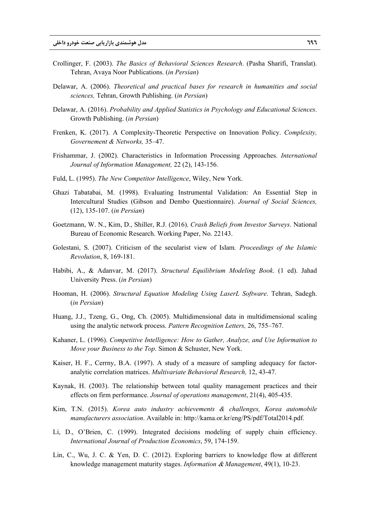- Crollinger, F. (2003). *The Basics of Behavioral Sciences Research*. (Pasha Sharifi, Translat). Tehran, Avaya Noor Publications. (*in Persian*)
- Delawar, A. (2006). *Theoretical and practical bases for research in humanities and social sciences,* Tehran, Growth Publishing. (*in Persian*)
- Delawar, A. (2016). *Probability and Applied Statistics in Psychology and Educational Sciences*. Growth Publishing. (*in Persian*)
- Frenken, K. (2017). A Complexity-Theoretic Perspective on Innovation Policy. *Complexity, Governement & Networks,* 35–47.
- Frishammar, J. (2002). Characteristics in Information Processing Approaches. *International Journal of Information Management,* 22 (2), 143-156.
- Fuld, L. (1995). *The New Competitor Intelligence*, Wiley, New York.
- Ghazi Tabatabai, M. (1998). Evaluating Instrumental Validation: An Essential Step in Intercultural Studies (Gibson and Dembo Questionnaire). *Journal of Social Sciences,* (12), 135-107. (*in Persian*)
- Goetzmann, W. N., Kim, D., Shiller, R.J. (2016). *Crash Beliefs from Investor Surveys*. National Bureau of Economic Research. Working Paper, No. 22143.
- Golestani, S. (2007). Criticism of the secularist view of Islam*. Proceedings of the Islamic Revolution*, 8, 169-181.
- Habibi, A., & Adanvar, M. (2017). *Structural Equilibrium Modeling Book*. (1 ed). Jahad University Press. (*in Persian*)
- Hooman, H. (2006). *Structural Equation Modeling Using LaserL Software*. Tehran, Sadegh. (*in Persian*)
- Huang, J.J., Tzeng, G., Ong, Ch. (2005). Multidimensional data in multidimensional scaling using the analytic network process. *Pattern Recognition Letters,* 26, 755–767.
- Kahaner, L. (1996). *Competitive Intelligence: How to Gather, Analyze, and Use Information to Move your Business to the Top*. Simon & Schuster, New York.
- Kaiser, H. F., Cerrny, B.A. (1997). A study of a measure of sampling adequacy for factoranalytic correlation matrices. *Multivariate Behavioral Research,* 12, 43-47.
- Kaynak, H. (2003). The relationship between total quality management practices and their effects on firm performance. *Journal of operations management*, 21(4), 405-435.
- Kim, T.N. (2015). *Korea auto industry achievements & challenges, Korea automobile manufacturers association*. Available in: http://kama.or.kr/eng/PS/pdf/Total2014.pdf.
- Li, D., O'Brien, C. (1999). Integrated decisions modeling of supply chain efficiency. *International Journal of Production Economics*, 59, 174-159.
- Lin, C., Wu, J. C. & Yen, D. C. (2012). Exploring barriers to knowledge flow at different knowledge management maturity stages. *Information* & *Management*, 49(1), 10-23.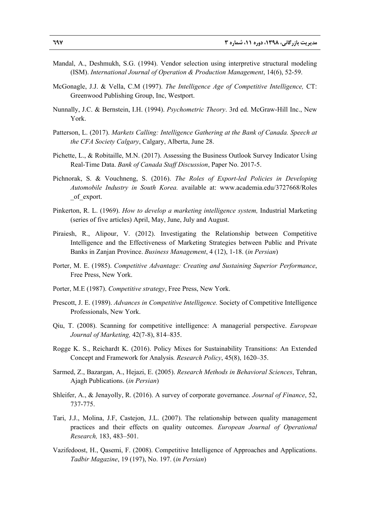- Mandal, A., Deshmukh, S.G. (1994). Vendor selection using interpretive structural modeling (ISM). *International Journal of Operation & Production Management*, 14(6), 52-59.
- McGonagle, J.J. & Vella, C.M (1997). *The Intelligence Age of Competitive Intelligence,* CT: Greenwood Publishing Group, Inc, Westport.
- Nunnally, J.C. & Bernstein, I.H. (1994). *Psychometric Theory*. 3rd ed. McGraw-Hill Inc., New York.
- Patterson, L. (2017). *Markets Calling: Intelligence Gathering at the Bank of Canada. Speech at the CFA Society Calgary*, Calgary, Alberta, June 28.
- Pichette, L., & Robitaille, M.N. (2017). Assessing the Business Outlook Survey Indicator Using Real-Time Data. *Bank of Canada Staff Discussion*, Paper No. 2017-5.
- Pichnorak, S. & Vouchneng, S. (2016). *The Roles of Export-led Policies in Developing Automobile Industry in South Korea.* available at: www.academia.edu/3727668/Roles \_of\_export.
- Pinkerton, R. L. (1969). *How to develop a marketing intelligence system,* Industrial Marketing (series of five articles) April, May, June, July and August.
- Piraiesh, R., Alipour, V. (2012). Investigating the Relationship between Competitive Intelligence and the Effectiveness of Marketing Strategies between Public and Private Banks in Zanjan Province. *Business Management*, 4 (12), 1-18. (*in Persian*)
- Porter, M. E. (1985). *Competitive Advantage: Creating and Sustaining Superior Performance*, Free Press, New York.
- Porter, M.E (1987). *Competitive strategy*, Free Press, New York.
- Prescott, J. E. (1989). *Advances in Competitive Intelligence.* Society of Competitive Intelligence Professionals, New York.
- Qiu, T. (2008). Scanning for competitive intelligence: A managerial perspective. *European Journal of Marketing,* 42(7-8), 814–835.
- Rogge K. S., Reichardt K. (2016). Policy Mixes for Sustainability Transitions: An Extended Concept and Framework for Analysis*. Research Policy*, 45(8), 1620–35.
- Sarmed, Z., Bazargan, A., Hejazi, E. (2005). *Research Methods in Behavioral Sciences*, Tehran, Ajagh Publications. (*in Persian*)
- Shleifer, A., & Jenayolly, R. (2016). A survey of corporate governance. *Journal of Finance*, 52, 737-775.
- Tari, J.J., Molina, J.F, Castejon, J.L. (2007). The relationship between quality management practices and their effects on quality outcomes. *European Journal of Operational Research,* 183, 483–501.
- Vazifedoost, H., Qasemi, F. (2008). Competitive Intelligence of Approaches and Applications. *Tadbir Magazine*, 19 (197), No. 197. (*in Persian*)